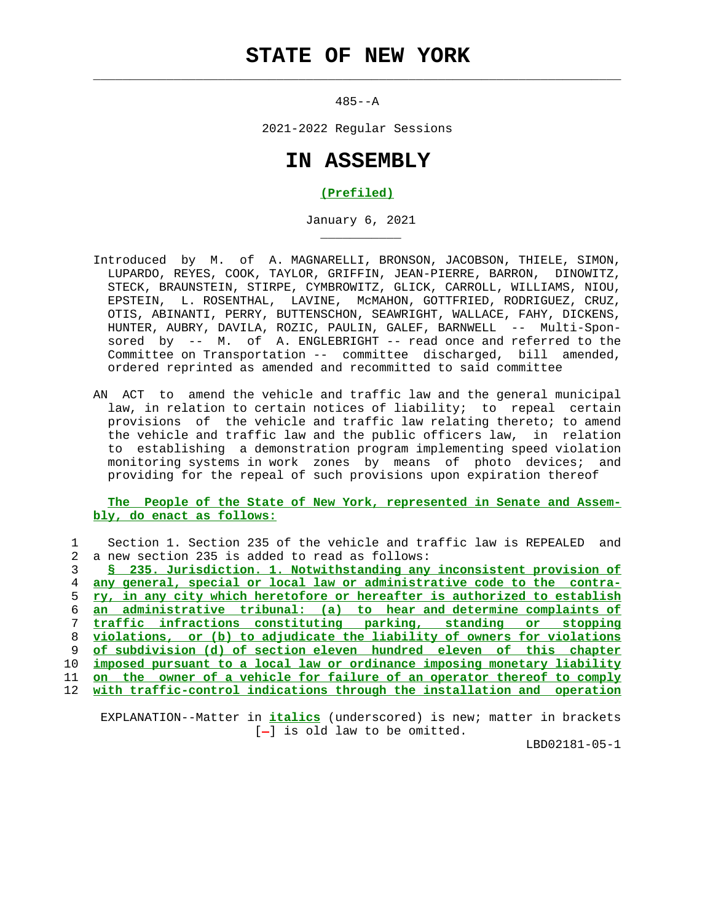## **STATE OF NEW YORK**

 $\mathcal{L}_\text{max} = \frac{1}{2} \sum_{i=1}^{n} \frac{1}{2} \sum_{i=1}^{n} \frac{1}{2} \sum_{i=1}^{n} \frac{1}{2} \sum_{i=1}^{n} \frac{1}{2} \sum_{i=1}^{n} \frac{1}{2} \sum_{i=1}^{n} \frac{1}{2} \sum_{i=1}^{n} \frac{1}{2} \sum_{i=1}^{n} \frac{1}{2} \sum_{i=1}^{n} \frac{1}{2} \sum_{i=1}^{n} \frac{1}{2} \sum_{i=1}^{n} \frac{1}{2} \sum_{i=1}^{n} \frac{1$ 

\_\_\_\_\_\_\_\_\_\_\_

485--A

2021-2022 Regular Sessions

## **IN ASSEMBLY**

## **(Prefiled)**

January 6, 2021

- Introduced by M. of A. MAGNARELLI, BRONSON, JACOBSON, THIELE, SIMON, LUPARDO, REYES, COOK, TAYLOR, GRIFFIN, JEAN-PIERRE, BARRON, DINOWITZ, STECK, BRAUNSTEIN, STIRPE, CYMBROWITZ, GLICK, CARROLL, WILLIAMS, NIOU, EPSTEIN, L. ROSENTHAL, LAVINE, McMAHON, GOTTFRIED, RODRIGUEZ, CRUZ, OTIS, ABINANTI, PERRY, BUTTENSCHON, SEAWRIGHT, WALLACE, FAHY, DICKENS, HUNTER, AUBRY, DAVILA, ROZIC, PAULIN, GALEF, BARNWELL -- Multi-Spon sored by -- M. of A. ENGLEBRIGHT -- read once and referred to the Committee on Transportation -- committee discharged, bill amended, ordered reprinted as amended and recommitted to said committee
- AN ACT to amend the vehicle and traffic law and the general municipal law, in relation to certain notices of liability; to repeal certain provisions of the vehicle and traffic law relating thereto; to amend the vehicle and traffic law and the public officers law, in relation to establishing a demonstration program implementing speed violation monitoring systems in work zones by means of photo devices; and providing for the repeal of such provisions upon expiration thereof

 **The People of the State of New York, represented in Senate and Assem bly, do enact as follows:**

|     | Section 1. Section 235 of the vehicle and traffic law is REPEALED<br>and |
|-----|--------------------------------------------------------------------------|
| 2.  | a new section 235 is added to read as follows:                           |
|     | § 235. Jurisdiction. 1. Notwithstanding any inconsistent provision of    |
|     | any general, special or local law or administrative code to the contra-  |
| 5.  | ry, in any city which heretofore or hereafter is authorized to establish |
| 6   | an administrative tribunal: (a) to hear and determine complaints of      |
|     | traffic infractions constituting parking, standing or stopping           |
| 8   | violations, or (b) to adjudicate the liability of owners for violations  |
| 9   | of subdivision (d) of section eleven hundred eleven of this chapter      |
| 10  | imposed pursuant to a local law or ordinance imposing monetary liability |
| 11  | on the owner of a vehicle for failure of an operator thereof to comply   |
| 12. | with traffic-control indications through the installation and operation  |
|     |                                                                          |

 EXPLANATION--Matter in **italics** (underscored) is new; matter in brackets  $[-]$  is old law to be omitted.

LBD02181-05-1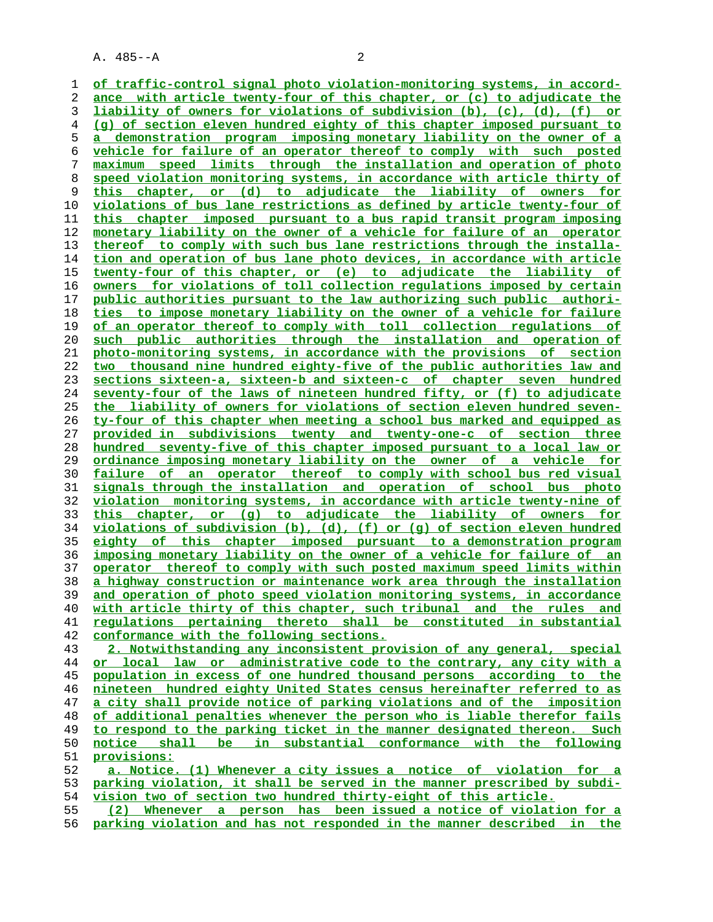**of traffic-control signal photo violation-monitoring systems, in accord- ance with article twenty-four of this chapter, or (c) to adjudicate the liability of owners for violations of subdivision (b), (c), (d), (f) or (g) of section eleven hundred eighty of this chapter imposed pursuant to a demonstration program imposing monetary liability on the owner of a vehicle for failure of an operator thereof to comply with such posted maximum speed limits through the installation and operation of photo speed violation monitoring systems, in accordance with article thirty of this chapter, or (d) to adjudicate the liability of owners for violations of bus lane restrictions as defined by article twenty-four of this chapter imposed pursuant to a bus rapid transit program imposing monetary liability on the owner of a vehicle for failure of an operator thereof to comply with such bus lane restrictions through the installa- tion and operation of bus lane photo devices, in accordance with article twenty-four of this chapter, or (e) to adjudicate the liability of owners for violations of toll collection regulations imposed by certain public authorities pursuant to the law authorizing such public authori- ties to impose monetary liability on the owner of a vehicle for failure of an operator thereof to comply with toll collection regulations of such public authorities through the installation and operation of photo-monitoring systems, in accordance with the provisions of section two thousand nine hundred eighty-five of the public authorities law and sections sixteen-a, sixteen-b and sixteen-c of chapter seven hundred seventy-four of the laws of nineteen hundred fifty, or (f) to adjudicate the liability of owners for violations of section eleven hundred seven- ty-four of this chapter when meeting a school bus marked and equipped as provided in subdivisions twenty and twenty-one-c of section three hundred seventy-five of this chapter imposed pursuant to a local law or ordinance imposing monetary liability on the owner of a vehicle for failure of an operator thereof to comply with school bus red visual signals through the installation and operation of school bus photo violation monitoring systems, in accordance with article twenty-nine of this chapter, or (g) to adjudicate the liability of owners for violations of subdivision (b), (d), (f) or (g) of section eleven hundred eighty of this chapter imposed pursuant to a demonstration program imposing monetary liability on the owner of a vehicle for failure of an operator thereof to comply with such posted maximum speed limits within a highway construction or maintenance work area through the installation and operation of photo speed violation monitoring systems, in accordance with article thirty of this chapter, such tribunal and the rules and regulations pertaining thereto shall be constituted in substantial conformance with the following sections. 2. Notwithstanding any inconsistent provision of any general, special or local law or administrative code to the contrary, any city with a population in excess of one hundred thousand persons according to the nineteen hundred eighty United States census hereinafter referred to as a city shall provide notice of parking violations and of the imposition of additional penalties whenever the person who is liable therefor fails to respond to the parking ticket in the manner designated thereon. Such notice shall be in substantial conformance with the following provisions: a. Notice. (1) Whenever a city issues a notice of violation for a parking violation, it shall be served in the manner prescribed by subdi- vision two of section two hundred thirty-eight of this article. (2) Whenever a person has been issued a notice of violation for a**

**parking violation and has not responded in the manner described in the**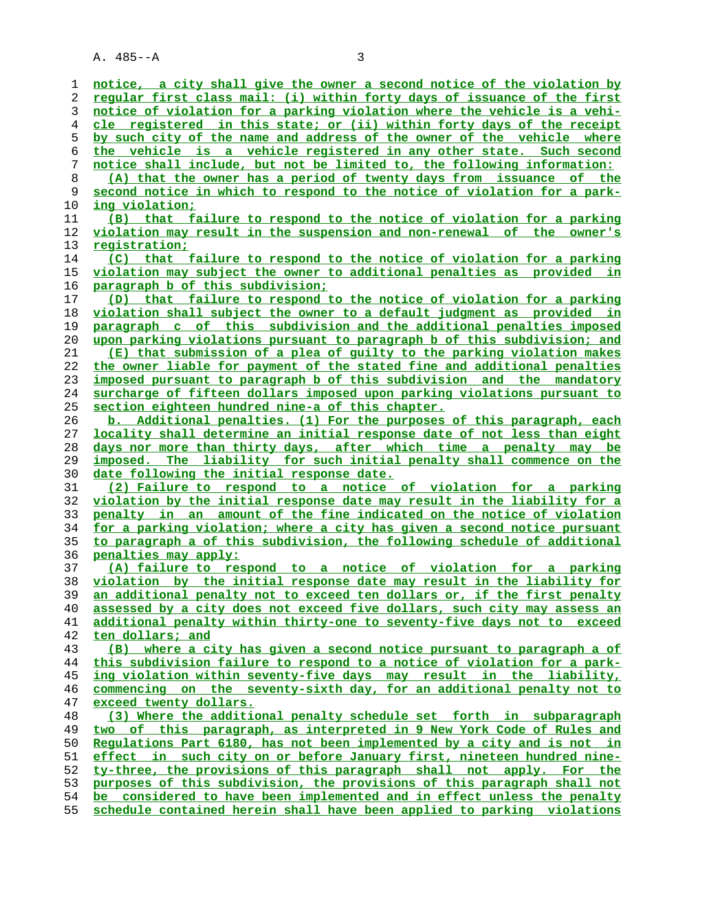**notice, a city shall give the owner a second notice of the violation by regular first class mail: (i) within forty days of issuance of the first notice of violation for a parking violation where the vehicle is a vehi- cle registered in this state; or (ii) within forty days of the receipt by such city of the name and address of the owner of the vehicle where the vehicle is a vehicle registered in any other state. Such second notice shall include, but not be limited to, the following information: (A) that the owner has a period of twenty days from issuance of the second notice in which to respond to the notice of violation for a park- ing violation; (B) that failure to respond to the notice of violation for a parking violation may result in the suspension and non-renewal of the owner's registration; (C) that failure to respond to the notice of violation for a parking violation may subject the owner to additional penalties as provided in paragraph b of this subdivision; (D) that failure to respond to the notice of violation for a parking violation shall subject the owner to a default judgment as provided in paragraph c of this subdivision and the additional penalties imposed upon parking violations pursuant to paragraph b of this subdivision; and (E) that submission of a plea of guilty to the parking violation makes the owner liable for payment of the stated fine and additional penalties imposed pursuant to paragraph b of this subdivision and the mandatory surcharge of fifteen dollars imposed upon parking violations pursuant to section eighteen hundred nine-a of this chapter. b. Additional penalties. (1) For the purposes of this paragraph, each locality shall determine an initial response date of not less than eight days nor more than thirty days, after which time a penalty may be imposed. The liability for such initial penalty shall commence on the date following the initial response date. (2) Failure to respond to a notice of violation for a parking violation by the initial response date may result in the liability for a penalty in an amount of the fine indicated on the notice of violation for a parking violation; where a city has given a second notice pursuant to paragraph a of this subdivision, the following schedule of additional penalties may apply: (A) failure to respond to a notice of violation for a parking violation by the initial response date may result in the liability for an additional penalty not to exceed ten dollars or, if the first penalty assessed by a city does not exceed five dollars, such city may assess an additional penalty within thirty-one to seventy-five days not to exceed ten dollars; and (B) where a city has given a second notice pursuant to paragraph a of this subdivision failure to respond to a notice of violation for a park- ing violation within seventy-five days may result in the liability, commencing on the seventy-sixth day, for an additional penalty not to exceed twenty dollars. (3) Where the additional penalty schedule set forth in subparagraph two of this paragraph, as interpreted in 9 New York Code of Rules and Regulations Part 6180, has not been implemented by a city and is not in effect in such city on or before January first, nineteen hundred nine- ty-three, the provisions of this paragraph shall not apply. For the purposes of this subdivision, the provisions of this paragraph shall not be considered to have been implemented and in effect unless the penalty schedule contained herein shall have been applied to parking violations**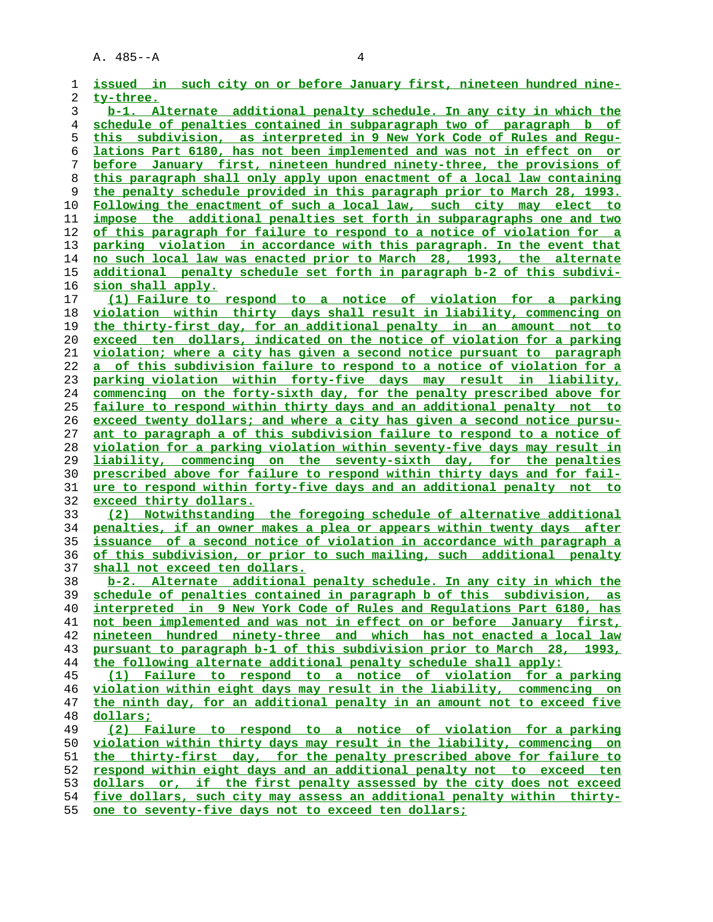| 1              | issued in such city on or before January first, nineteen hundred nine-                                                                                  |
|----------------|---------------------------------------------------------------------------------------------------------------------------------------------------------|
| 2              | ty-three.                                                                                                                                               |
| 3              | b-1. Alternate additional penalty schedule. In any city in which the                                                                                    |
| $\overline{4}$ | schedule of penalties contained in subparagraph two of paragraph b of                                                                                   |
| 5              | this subdivision, as interpreted in 9 New York Code of Rules and Requ-                                                                                  |
| 6              | lations Part 6180, has not been implemented and was not in effect on or                                                                                 |
| 7              | before January first, nineteen hundred ninety-three, the provisions of                                                                                  |
| 8              | this paragraph shall only apply upon enactment of a local law containing                                                                                |
| 9              | the penalty schedule provided in this paragraph prior to March 28, 1993.                                                                                |
| 10             | Following the enactment of such a local law, such city may elect to                                                                                     |
| 11             | impose the additional penalties set forth in subparagraphs one and two                                                                                  |
| 12             | of this paragraph for failure to respond to a notice of violation for a                                                                                 |
| 13             | parking violation in accordance with this paragraph. In the event that                                                                                  |
| 14             | no such local law was enacted prior to March 28, 1993, the alternate                                                                                    |
| 15             | additional penalty schedule set forth in paragraph b-2 of this subdivi-                                                                                 |
| 16             | sion shall apply.                                                                                                                                       |
| 17             | (1) Failure to respond to a notice of violation for a parking                                                                                           |
| 18             | violation within thirty days shall result in liability, commencing on                                                                                   |
| 19             | the thirty-first day, for an additional penalty in an amount not to                                                                                     |
| 20             | exceed ten dollars, indicated on the notice of violation for a parking                                                                                  |
| 21             | violation; where a city has given a second notice pursuant to paragraph                                                                                 |
| 22             | a of this subdivision failure to respond to a notice of violation for a                                                                                 |
| 23             | parking violation within forty-five days may result in liability,                                                                                       |
| 24             | commencing on the forty-sixth day, for the penalty prescribed above for                                                                                 |
| 25             | failure to respond within thirty days and an additional penalty not to                                                                                  |
| 26             | exceed twenty dollars; and where a city has given a second notice pursu-                                                                                |
| 27             | ant to paragraph a of this subdivision failure to respond to a notice of                                                                                |
| 28             | violation for a parking violation within seventy-five days may result in                                                                                |
| 29             | liability, commencing on the seventy-sixth day, for the penalties                                                                                       |
| 30             | prescribed above for failure to respond within thirty days and for fail-                                                                                |
| 31             | ure to respond within forty-five days and an additional penalty not to                                                                                  |
| 32             | exceed thirty dollars.                                                                                                                                  |
| 33             | (2) Notwithstanding the foregoing schedule of alternative additional                                                                                    |
| 34             | penalties, if an owner makes a plea or appears within twenty days after                                                                                 |
| 35             | issuance of a second notice of violation in accordance with paragraph a                                                                                 |
| 36             | of this subdivision, or prior to such mailing, such additional penalty                                                                                  |
| 37             | shall not exceed ten dollars.                                                                                                                           |
| 38             | b-2. Alternate additional penalty schedule. In any city in which the                                                                                    |
| 39             | schedule of penalties contained in paragraph b of this subdivision, as                                                                                  |
| 40             | interpreted in 9 New York Code of Rules and Requlations Part 6180, has                                                                                  |
| 41             | not been implemented and was not in effect on or before January first,                                                                                  |
| 42             | nineteen hundred ninety-three and which has not enacted a local law                                                                                     |
| 43             | pursuant to paragraph b-1 of this subdivision prior to March 28, 1993,                                                                                  |
| 44             | the following alternate additional penalty schedule shall apply:<br>(1) Failure to respond to a notice of violation for a parking                       |
| 45             | violation within eight days may result in the liability, commencing on                                                                                  |
| 46             | the ninth day, for an additional penalty in an amount not to exceed five                                                                                |
| 47<br>48       | dollars;                                                                                                                                                |
| 49             | (2) Failure to respond to a notice of violation for a parking                                                                                           |
| 50             |                                                                                                                                                         |
| 51             | <u>violation within thirty days may result in the liability, commencing on</u><br>the thirty-first day, for the penalty prescribed above for failure to |
| 52             | respond within eight days and an additional penalty not to exceed ten                                                                                   |
| 53             | dollars or, if the first penalty assessed by the city does not exceed                                                                                   |
| 54             | five dollars, such city may assess an additional penalty within thirty-                                                                                 |
| е е.           |                                                                                                                                                         |

**one to seventy-five days not to exceed ten dollars;**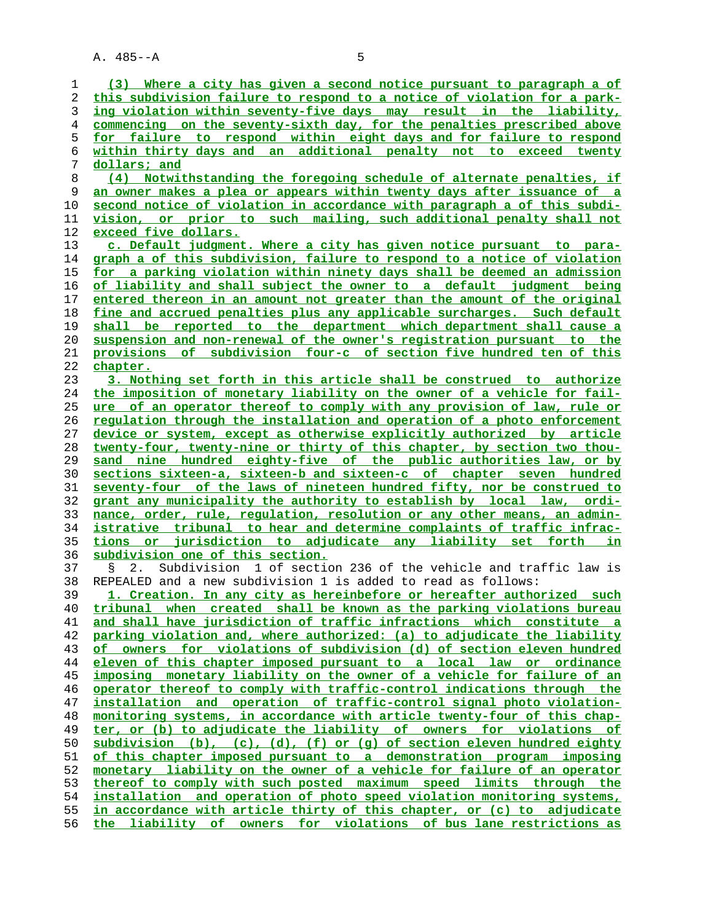**(3) Where a city has given a second notice pursuant to paragraph a of this subdivision failure to respond to a notice of violation for a park- ing violation within seventy-five days may result in the liability, commencing on the seventy-sixth day, for the penalties prescribed above for failure to respond within eight days and for failure to respond within thirty days and an additional penalty not to exceed twenty dollars; and (4) Notwithstanding the foregoing schedule of alternate penalties, if an owner makes a plea or appears within twenty days after issuance of a second notice of violation in accordance with paragraph a of this subdi- vision, or prior to such mailing, such additional penalty shall not exceed five dollars. c. Default judgment. Where a city has given notice pursuant to para- graph a of this subdivision, failure to respond to a notice of violation for a parking violation within ninety days shall be deemed an admission of liability and shall subject the owner to a default judgment being entered thereon in an amount not greater than the amount of the original fine and accrued penalties plus any applicable surcharges. Such default shall be reported to the department which department shall cause a suspension and non-renewal of the owner's registration pursuant to the provisions of subdivision four-c of section five hundred ten of this chapter. 3. Nothing set forth in this article shall be construed to authorize the imposition of monetary liability on the owner of a vehicle for fail- ure of an operator thereof to comply with any provision of law, rule or regulation through the installation and operation of a photo enforcement device or system, except as otherwise explicitly authorized by article twenty-four, twenty-nine or thirty of this chapter, by section two thou- sand nine hundred eighty-five of the public authorities law, or by sections sixteen-a, sixteen-b and sixteen-c of chapter seven hundred seventy-four of the laws of nineteen hundred fifty, nor be construed to grant any municipality the authority to establish by local law, ordi- nance, order, rule, regulation, resolution or any other means, an admin- istrative tribunal to hear and determine complaints of traffic infrac- tions or jurisdiction to adjudicate any liability set forth in subdivision one of this section.** 37 § 2. Subdivision 1 of section 236 of the vehicle and traffic law is 38 REPEALED and a new subdivision 1 is added to read as follows: **1. Creation. In any city as hereinbefore or hereafter authorized such tribunal when created shall be known as the parking violations bureau and shall have jurisdiction of traffic infractions which constitute a parking violation and, where authorized: (a) to adjudicate the liability of owners for violations of subdivision (d) of section eleven hundred eleven of this chapter imposed pursuant to a local law or ordinance imposing monetary liability on the owner of a vehicle for failure of an operator thereof to comply with traffic-control indications through the installation and operation of traffic-control signal photo violation- monitoring systems, in accordance with article twenty-four of this chap- ter, or (b) to adjudicate the liability of owners for violations of subdivision (b), (c), (d), (f) or (g) of section eleven hundred eighty of this chapter imposed pursuant to a demonstration program imposing monetary liability on the owner of a vehicle for failure of an operator thereof to comply with such posted maximum speed limits through the installation and operation of photo speed violation monitoring systems, in accordance with article thirty of this chapter, or (c) to adjudicate the liability of owners for violations of bus lane restrictions as**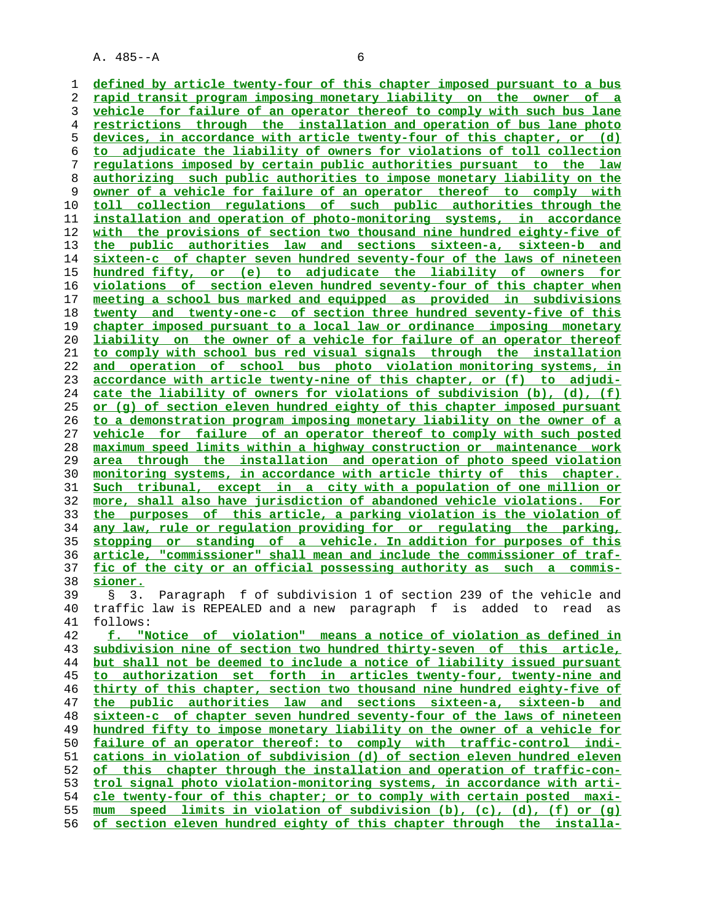**defined by article twenty-four of this chapter imposed pursuant to a bus rapid transit program imposing monetary liability on the owner of a vehicle for failure of an operator thereof to comply with such bus lane restrictions through the installation and operation of bus lane photo devices, in accordance with article twenty-four of this chapter, or (d) to adjudicate the liability of owners for violations of toll collection regulations imposed by certain public authorities pursuant to the law authorizing such public authorities to impose monetary liability on the owner of a vehicle for failure of an operator thereof to comply with toll collection regulations of such public authorities through the installation and operation of photo-monitoring systems, in accordance with the provisions of section two thousand nine hundred eighty-five of the public authorities law and sections sixteen-a, sixteen-b and sixteen-c of chapter seven hundred seventy-four of the laws of nineteen hundred fifty, or (e) to adjudicate the liability of owners for violations of section eleven hundred seventy-four of this chapter when meeting a school bus marked and equipped as provided in subdivisions twenty and twenty-one-c of section three hundred seventy-five of this chapter imposed pursuant to a local law or ordinance imposing monetary liability on the owner of a vehicle for failure of an operator thereof to comply with school bus red visual signals through the installation and operation of school bus photo violation monitoring systems, in accordance with article twenty-nine of this chapter, or (f) to adjudi- cate the liability of owners for violations of subdivision (b), (d), (f) or (g) of section eleven hundred eighty of this chapter imposed pursuant to a demonstration program imposing monetary liability on the owner of a vehicle for failure of an operator thereof to comply with such posted maximum speed limits within a highway construction or maintenance work area through the installation and operation of photo speed violation monitoring systems, in accordance with article thirty of this chapter. Such tribunal, except in a city with a population of one million or more, shall also have jurisdiction of abandoned vehicle violations. For the purposes of this article, a parking violation is the violation of any law, rule or regulation providing for or regulating the parking, stopping or standing of a vehicle. In addition for purposes of this article, "commissioner" shall mean and include the commissioner of traf- fic of the city or an official possessing authority as such a commis- sioner.** 39 § 3. Paragraph f of subdivision 1 of section 239 of the vehicle and 40 traffic law is REPEALED and a new paragraph f is added to read as 41 follows: **f. "Notice of violation" means a notice of violation as defined in subdivision nine of section two hundred thirty-seven of this article, but shall not be deemed to include a notice of liability issued pursuant to authorization set forth in articles twenty-four, twenty-nine and thirty of this chapter, section two thousand nine hundred eighty-five of the public authorities law and sections sixteen-a, sixteen-b and sixteen-c of chapter seven hundred seventy-four of the laws of nineteen hundred fifty to impose monetary liability on the owner of a vehicle for failure of an operator thereof: to comply with traffic-control indi- cations in violation of subdivision (d) of section eleven hundred eleven of this chapter through the installation and operation of traffic-con- trol signal photo violation-monitoring systems, in accordance with arti- cle twenty-four of this chapter; or to comply with certain posted maxi- mum speed limits in violation of subdivision (b), (c), (d), (f) or (g) of section eleven hundred eighty of this chapter through the installa-**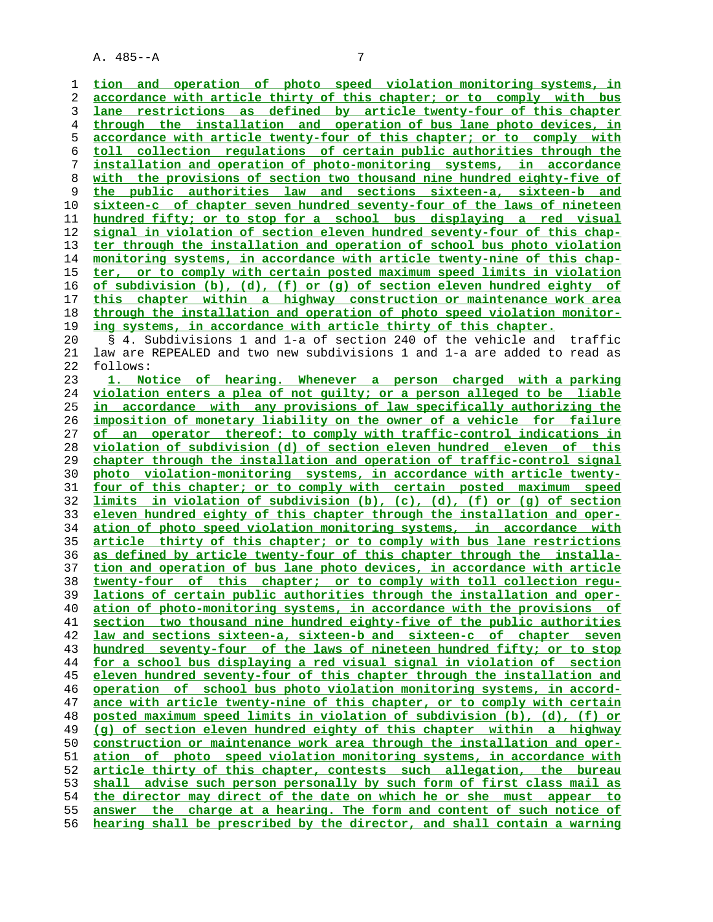**tion and operation of photo speed violation monitoring systems, in accordance with article thirty of this chapter; or to comply with bus lane restrictions as defined by article twenty-four of this chapter through the installation and operation of bus lane photo devices, in accordance with article twenty-four of this chapter; or to comply with toll collection regulations of certain public authorities through the installation and operation of photo-monitoring systems, in accordance with the provisions of section two thousand nine hundred eighty-five of the public authorities law and sections sixteen-a, sixteen-b and sixteen-c of chapter seven hundred seventy-four of the laws of nineteen hundred fifty; or to stop for a school bus displaying a red visual signal in violation of section eleven hundred seventy-four of this chap- ter through the installation and operation of school bus photo violation monitoring systems, in accordance with article twenty-nine of this chap- ter, or to comply with certain posted maximum speed limits in violation of subdivision (b), (d), (f) or (g) of section eleven hundred eighty of this chapter within a highway construction or maintenance work area through the installation and operation of photo speed violation monitor- ing systems, in accordance with article thirty of this chapter.** 20 § 4. Subdivisions 1 and 1-a of section 240 of the vehicle and traffic 21 law are REPEALED and two new subdivisions 1 and 1-a are added to read as 22 follows: **1. Notice of hearing. Whenever a person charged with a parking violation enters a plea of not guilty; or a person alleged to be liable in accordance with any provisions of law specifically authorizing the imposition of monetary liability on the owner of a vehicle for failure of an operator thereof: to comply with traffic-control indications in violation of subdivision (d) of section eleven hundred eleven of this chapter through the installation and operation of traffic-control signal photo violation-monitoring systems, in accordance with article twenty- four of this chapter; or to comply with certain posted maximum speed limits in violation of subdivision (b), (c), (d), (f) or (g) of section eleven hundred eighty of this chapter through the installation and oper- ation of photo speed violation monitoring systems, in accordance with article thirty of this chapter; or to comply with bus lane restrictions as defined by article twenty-four of this chapter through the installa- tion and operation of bus lane photo devices, in accordance with article twenty-four of this chapter; or to comply with toll collection regu- lations of certain public authorities through the installation and oper- ation of photo-monitoring systems, in accordance with the provisions of section two thousand nine hundred eighty-five of the public authorities law and sections sixteen-a, sixteen-b and sixteen-c of chapter seven hundred seventy-four of the laws of nineteen hundred fifty; or to stop for a school bus displaying a red visual signal in violation of section eleven hundred seventy-four of this chapter through the installation and operation of school bus photo violation monitoring systems, in accord- ance with article twenty-nine of this chapter, or to comply with certain posted maximum speed limits in violation of subdivision (b), (d), (f) or (g) of section eleven hundred eighty of this chapter within a highway construction or maintenance work area through the installation and oper- ation of photo speed violation monitoring systems, in accordance with article thirty of this chapter, contests such allegation, the bureau shall advise such person personally by such form of first class mail as the director may direct of the date on which he or she must appear to answer the charge at a hearing. The form and content of such notice of hearing shall be prescribed by the director, and shall contain a warning**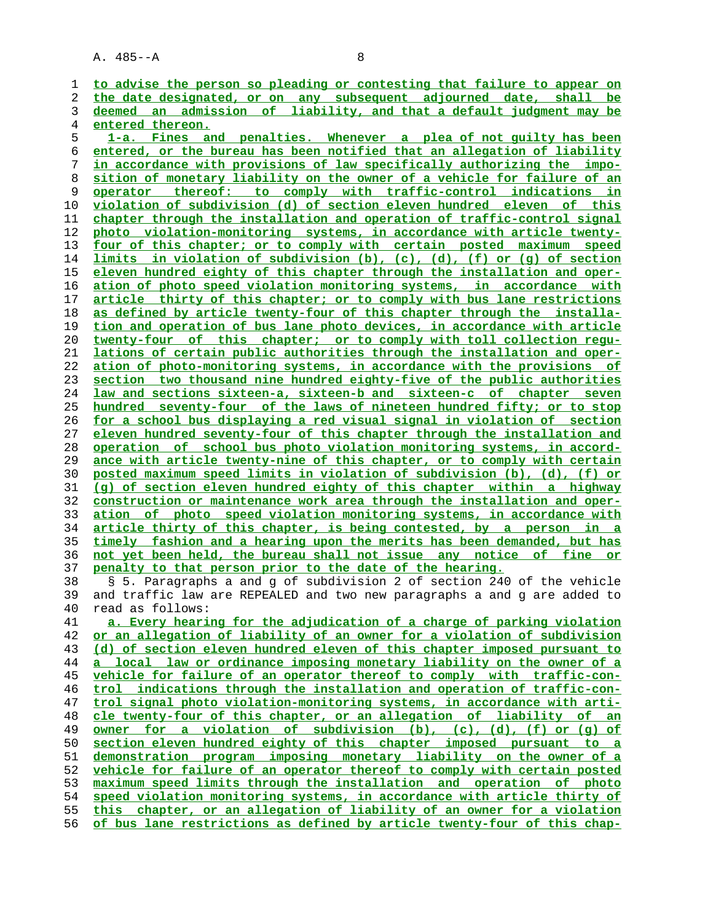| 1  | to advise the person so pleading or contesting that failure to appear on        |
|----|---------------------------------------------------------------------------------|
| 2  | the date designated, or on any subsequent adjourned date, shall<br>be           |
| 3  | deemed an admission of liability, and that a default judgment may be            |
| 4  | entered thereon.                                                                |
| 5  | 1-a. Fines and penalties. Whenever a plea of not quilty has been                |
| 6  | entered, or the bureau has been notified that an allegation of liability        |
| 7  | in accordance with provisions of law specifically authorizing the impo-         |
| 8  | sition of monetary liability on the owner of a vehicle for failure of an        |
| 9  | operator thereof: to comply with traffic-control indications in                 |
| 10 | violation of subdivision (d) of section eleven hundred eleven of this           |
| 11 | chapter through the installation and operation of traffic-control signal        |
| 12 | photo violation-monitoring systems, in accordance with article twenty-          |
| 13 | four of this chapter; or to comply with certain posted maximum<br>speed         |
| 14 | <u>limits in violation of subdivision (b), (c), (d), (f) or (q) of section</u>  |
| 15 | eleven hundred eighty of this chapter through the installation and oper-        |
| 16 | ation of photo speed violation monitoring systems, in accordance with           |
| 17 | article thirty of this chapter; or to comply with bus lane restrictions         |
|    |                                                                                 |
| 18 | as defined by article twenty-four of this chapter through the installa-         |
| 19 | tion and operation of bus lane photo devices, in accordance with article        |
| 20 | twenty-four of this chapter; or to comply with toll collection requ-            |
| 21 | lations of certain public authorities through the installation and oper-        |
| 22 | ation of photo-monitoring systems, in accordance with the provisions of         |
| 23 | section two thousand nine hundred eighty-five of the public authorities         |
| 24 | law and sections sixteen-a, sixteen-b and sixteen-c of chapter seven            |
| 25 | hundred seventy-four of the laws of nineteen hundred fifty; or to stop          |
| 26 | for a school bus displaying a red visual signal in violation of section         |
| 27 | eleven hundred seventy-four of this chapter through the installation and        |
| 28 | operation of school bus photo violation monitoring systems, in accord-          |
| 29 | ance with article twenty-nine of this chapter, or to comply with certain        |
| 30 | posted maximum speed limits in violation of subdivision (b), (d), (f) or        |
| 31 | (q) of section eleven hundred eighty of this chapter within a highway           |
| 32 | <u>construction or maintenance work area through the installation and oper-</u> |
| 33 | ation of photo speed violation monitoring systems, in accordance with           |
| 34 | article thirty of this chapter, is being contested, by a person in a            |
| 35 | timely fashion and a hearing upon the merits has been demanded, but has         |
| 36 | not yet been held, the bureau shall not issue any notice of fine or             |
| 37 | penalty to that person prior to the date of the hearing.                        |
| 38 | § 5. Paragraphs a and g of subdivision 2 of section 240 of the vehicle          |
| 39 | and traffic law are REPEALED and two new paragraphs a and g are added to        |
| 40 | read as follows:                                                                |
| 41 | a. Every hearing for the adjudication of a charge of parking violation          |
| 42 | or an allegation of liability of an owner for a violation of subdivision        |
| 43 | (d) of section eleven hundred eleven of this chapter imposed pursuant to        |
| 44 | a local law or ordinance imposing monetary liability on the owner of a          |
| 45 | vehicle for failure of an operator thereof to comply with traffic-con-          |
| 46 | trol indications through the installation and operation of traffic-con-         |
| 47 | trol signal photo violation-monitoring systems, in accordance with arti-        |
| 48 | cle twenty-four of this chapter, or an allegation of liability of an            |
| 49 | owner for a violation of subdivision (b), (c), (d), (f) or (q) of               |
| 50 | section eleven hundred eighty of this chapter imposed pursuant to a             |
| 51 | demonstration program imposing monetary liability on the owner of a             |
| 52 | vehicle for failure of an operator thereof to comply with certain posted        |
| 53 | maximum speed limits through the installation and operation of photo            |
| 54 | speed violation monitoring systems, in accordance with article thirty of        |
| 55 | this chapter, or an allegation of liability of an owner for a violation         |
| 56 | of bus lane restrictions as defined by article twenty-four of this chap-        |
|    |                                                                                 |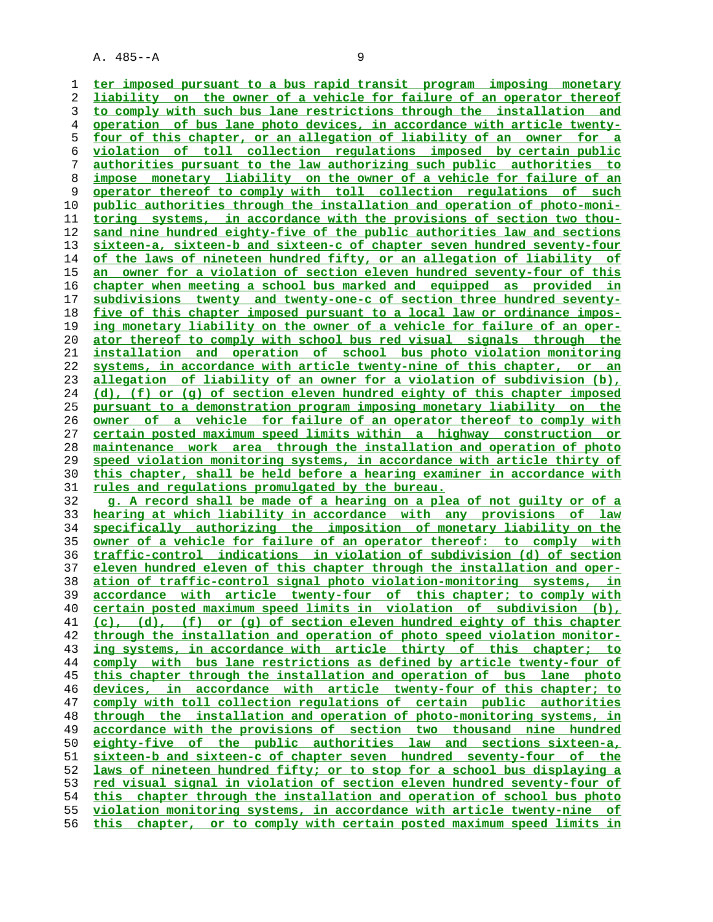**ter imposed pursuant to a bus rapid transit program imposing monetary liability on the owner of a vehicle for failure of an operator thereof to comply with such bus lane restrictions through the installation and operation of bus lane photo devices, in accordance with article twenty- four of this chapter, or an allegation of liability of an owner for a violation of toll collection regulations imposed by certain public authorities pursuant to the law authorizing such public authorities to impose monetary liability on the owner of a vehicle for failure of an operator thereof to comply with toll collection regulations of such public authorities through the installation and operation of photo-moni- toring systems, in accordance with the provisions of section two thou- sand nine hundred eighty-five of the public authorities law and sections sixteen-a, sixteen-b and sixteen-c of chapter seven hundred seventy-four of the laws of nineteen hundred fifty, or an allegation of liability of an owner for a violation of section eleven hundred seventy-four of this chapter when meeting a school bus marked and equipped as provided in subdivisions twenty and twenty-one-c of section three hundred seventy- five of this chapter imposed pursuant to a local law or ordinance impos- ing monetary liability on the owner of a vehicle for failure of an oper- ator thereof to comply with school bus red visual signals through the installation and operation of school bus photo violation monitoring systems, in accordance with article twenty-nine of this chapter, or an allegation of liability of an owner for a violation of subdivision (b), (d), (f) or (g) of section eleven hundred eighty of this chapter imposed pursuant to a demonstration program imposing monetary liability on the owner of a vehicle for failure of an operator thereof to comply with certain posted maximum speed limits within a highway construction or maintenance work area through the installation and operation of photo speed violation monitoring systems, in accordance with article thirty of this chapter, shall be held before a hearing examiner in accordance with rules and regulations promulgated by the bureau. g. A record shall be made of a hearing on a plea of not guilty or of a hearing at which liability in accordance with any provisions of law specifically authorizing the imposition of monetary liability on the owner of a vehicle for failure of an operator thereof: to comply with**

**traffic-control indications in violation of subdivision (d) of section eleven hundred eleven of this chapter through the installation and oper- ation of traffic-control signal photo violation-monitoring systems, in accordance with article twenty-four of this chapter; to comply with certain posted maximum speed limits in violation of subdivision (b), (c), (d), (f) or (g) of section eleven hundred eighty of this chapter through the installation and operation of photo speed violation monitor- ing systems, in accordance with article thirty of this chapter; to comply with bus lane restrictions as defined by article twenty-four of this chapter through the installation and operation of bus lane photo devices, in accordance with article twenty-four of this chapter; to comply with toll collection regulations of certain public authorities through the installation and operation of photo-monitoring systems, in accordance with the provisions of section two thousand nine hundred eighty-five of the public authorities law and sections sixteen-a, sixteen-b and sixteen-c of chapter seven hundred seventy-four of the laws of nineteen hundred fifty; or to stop for a school bus displaying a red visual signal in violation of section eleven hundred seventy-four of this chapter through the installation and operation of school bus photo violation monitoring systems, in accordance with article twenty-nine of this chapter, or to comply with certain posted maximum speed limits in**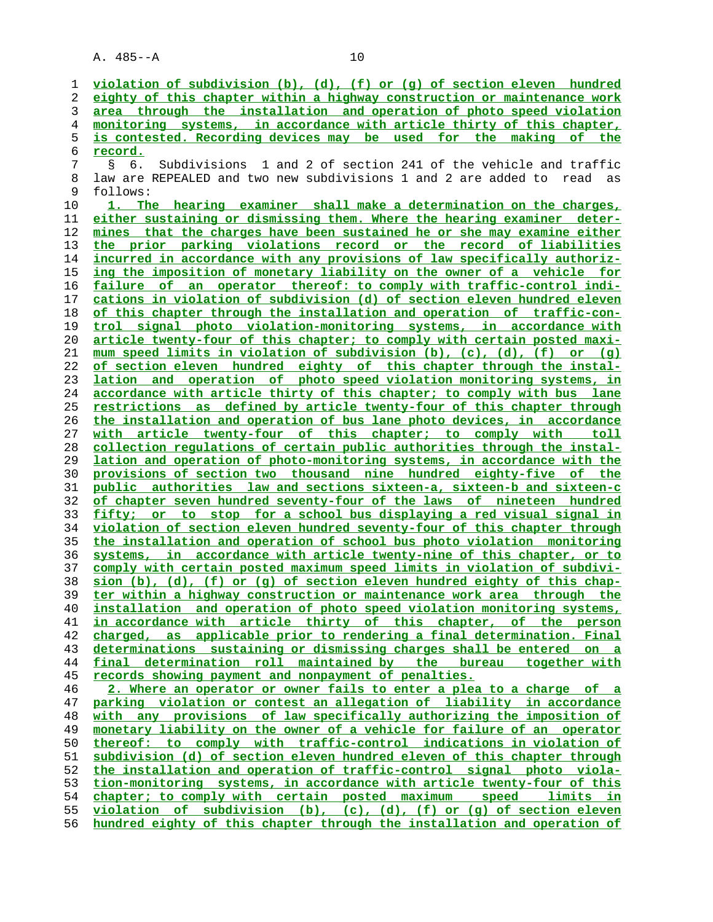| 1      | violation of subdivision (b), (d), (f) or (g) of section eleven hundred                                                                          |
|--------|--------------------------------------------------------------------------------------------------------------------------------------------------|
| 2      | eighty of this chapter within a highway construction or maintenance work                                                                         |
| 3      | area through the installation and operation of photo speed violation                                                                             |
| 4      | monitoring systems, in accordance with article thirty of this chapter,                                                                           |
| 5<br>6 | is contested. Recording devices may be used for the making of the                                                                                |
|        | <u>record.</u>                                                                                                                                   |
|        | 1 and 2 of section 241 of the vehicle and traffic<br>Subdivisions<br>S<br>6.                                                                     |
|        | law are REPEALED and two new subdivisions 1 and 2 are added to read<br>as                                                                        |
|        | follows:                                                                                                                                         |
|        | 1. The hearing examiner shall make a determination on the charges,                                                                               |
|        | either sustaining or dismissing them. Where the hearing examiner deter-                                                                          |
|        | mines that the charges have been sustained he or she may examine either<br>the prior parking violations record or the record of liabilities      |
|        | incurred in accordance with any provisions of law specifically authoriz-                                                                         |
|        | ing the imposition of monetary liability on the owner of a vehicle for                                                                           |
|        | failure of an operator thereof: to comply with traffic-control indi-                                                                             |
|        | cations in violation of subdivision (d) of section eleven hundred eleven                                                                         |
|        | of this chapter through the installation and operation of traffic-con-                                                                           |
|        | trol signal photo violation-monitoring systems, in accordance with                                                                               |
|        | article twenty-four of this chapter; to comply with certain posted maxi-                                                                         |
|        | mum speed limits in violation of subdivision (b), (c), (d), (f) or (q)                                                                           |
|        | of section eleven hundred eighty of this chapter through the instal-                                                                             |
|        | and operation of photo speed violation monitoring systems, in<br>lation                                                                          |
|        | accordance with article thirty of this chapter; to comply with bus lane                                                                          |
|        | restrictions as defined by article twenty-four of this chapter through                                                                           |
|        | the installation and operation of bus lane photo devices, in accordance                                                                          |
|        | with article twenty-four of this chapter; to comply with toll                                                                                    |
|        | collection regulations of certain public authorities through the instal-                                                                         |
|        | lation and operation of photo-monitoring systems, in accordance with the                                                                         |
|        | provisions of section two thousand nine hundred eighty-five of the                                                                               |
|        | public authorities law and sections sixteen-a, sixteen-b and sixteen-c                                                                           |
|        | of chapter seven hundred seventy-four of the laws of nineteen hundred<br>fifty; or to stop for a school bus displaying a red visual signal in    |
|        | violation of section eleven hundred seventy-four of this chapter through                                                                         |
|        | the installation and operation of school bus photo violation monitoring                                                                          |
|        | systems, in accordance with article twenty-nine of this chapter, or to                                                                           |
|        | comply with certain posted maximum speed limits in violation of subdivi-                                                                         |
|        | sion (b), (d), (f) or (g) of section eleven hundred eighty of this chap-                                                                         |
|        | ter within a highway construction or maintenance work area through the                                                                           |
|        | installation and operation of photo speed violation monitoring systems,                                                                          |
|        | in accordance with article thirty of this chapter, of the person                                                                                 |
|        | charged, as applicable prior to rendering a final determination. Final                                                                           |
|        | determinations sustaining or dismissing charges shall be entered on a                                                                            |
|        | final determination roll maintained by the bureau together with                                                                                  |
|        | records showing payment and nonpayment of penalties.                                                                                             |
|        | 2. Where an operator or owner fails to enter a plea to a charge of a                                                                             |
|        | parking violation or contest an allegation of liability in accordance                                                                            |
|        | any provisions of law specifically authorizing the imposition of<br>with                                                                         |
|        | monetary liability on the owner of a vehicle for failure of an operator                                                                          |
|        | thereof: to comply with traffic-control indications in violation of                                                                              |
|        | subdivision (d) of section eleven hundred eleven of this chapter through                                                                         |
|        | the installation and operation of traffic-control signal photo viola-<br>tion-monitoring systems, in accordance with article twenty-four of this |
|        | chapter; to comply with certain posted maximum speed limits in                                                                                   |
|        | violation of subdivision (b), (c), (d), (f) or (q) of section eleven                                                                             |
|        | hundred eighty of this chapter through the installation and operation of                                                                         |
|        |                                                                                                                                                  |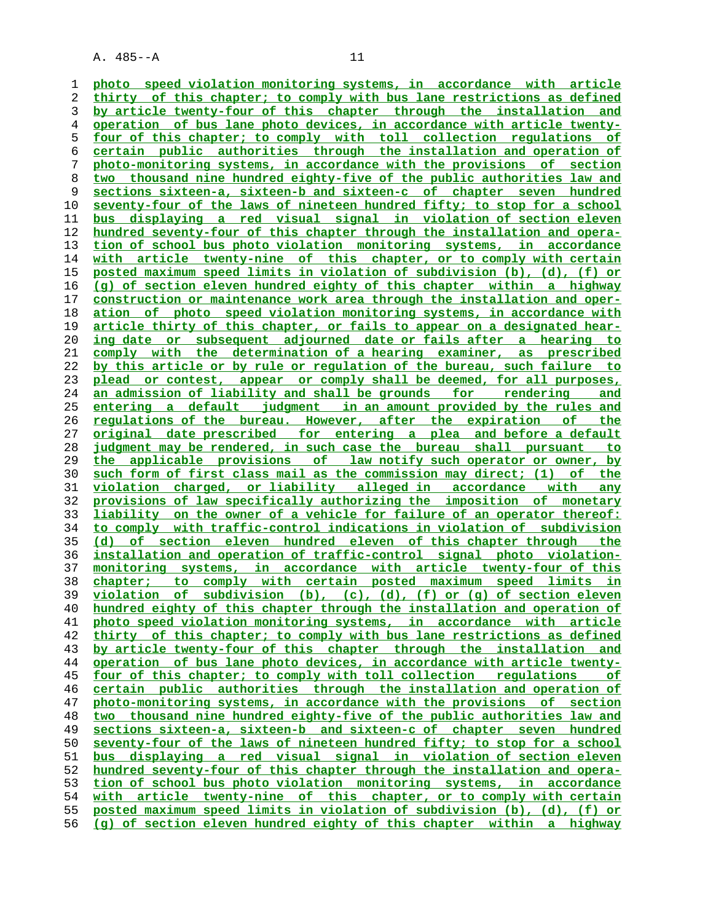**photo speed violation monitoring systems, in accordance with article thirty of this chapter; to comply with bus lane restrictions as defined by article twenty-four of this chapter through the installation and operation of bus lane photo devices, in accordance with article twenty- four of this chapter; to comply with toll collection regulations of certain public authorities through the installation and operation of photo-monitoring systems, in accordance with the provisions of section two thousand nine hundred eighty-five of the public authorities law and sections sixteen-a, sixteen-b and sixteen-c of chapter seven hundred seventy-four of the laws of nineteen hundred fifty; to stop for a school bus displaying a red visual signal in violation of section eleven hundred seventy-four of this chapter through the installation and opera- tion of school bus photo violation monitoring systems, in accordance** with article twenty-nine of this chapter, or to comply with certain **posted maximum speed limits in violation of subdivision (b), (d), (f) or (g) of section eleven hundred eighty of this chapter within a highway construction or maintenance work area through the installation and oper- ation of photo speed violation monitoring systems, in accordance with article thirty of this chapter, or fails to appear on a designated hear- ing date or subsequent adjourned date or fails after a hearing to comply with the determination of a hearing examiner, as prescribed by this article or by rule or regulation of the bureau, such failure to plead or contest, appear or comply shall be deemed, for all purposes, an admission of liability and shall be grounds for rendering and entering a default judgment in an amount provided by the rules and regulations of the bureau. However, after the expiration of the original date prescribed for entering a plea and before a default judgment may be rendered, in such case the bureau shall pursuant to the applicable provisions of law notify such operator or owner, by such form of first class mail as the commission may direct; (1) of the violation charged, or liability alleged in accordance with any provisions of law specifically authorizing the imposition of monetary liability on the owner of a vehicle for failure of an operator thereof: to comply with traffic-control indications in violation of subdivision (d) of section eleven hundred eleven of this chapter through the installation and operation of traffic-control signal photo violation- monitoring systems, in accordance with article twenty-four of this chapter; to comply with certain posted maximum speed limits in violation of subdivision (b), (c), (d), (f) or (g) of section eleven hundred eighty of this chapter through the installation and operation of photo speed violation monitoring systems, in accordance with article thirty of this chapter; to comply with bus lane restrictions as defined by article twenty-four of this chapter through the installation and operation of bus lane photo devices, in accordance with article twenty- four of this chapter; to comply with toll collection regulations of certain public authorities through the installation and operation of photo-monitoring systems, in accordance with the provisions of section two thousand nine hundred eighty-five of the public authorities law and sections sixteen-a, sixteen-b and sixteen-c of chapter seven hundred seventy-four of the laws of nineteen hundred fifty; to stop for a school bus displaying a red visual signal in violation of section eleven hundred seventy-four of this chapter through the installation and opera- tion of school bus photo violation monitoring systems, in accordance with article twenty-nine of this chapter, or to comply with certain posted maximum speed limits in violation of subdivision (b), (d), (f) or (g) of section eleven hundred eighty of this chapter within a highway**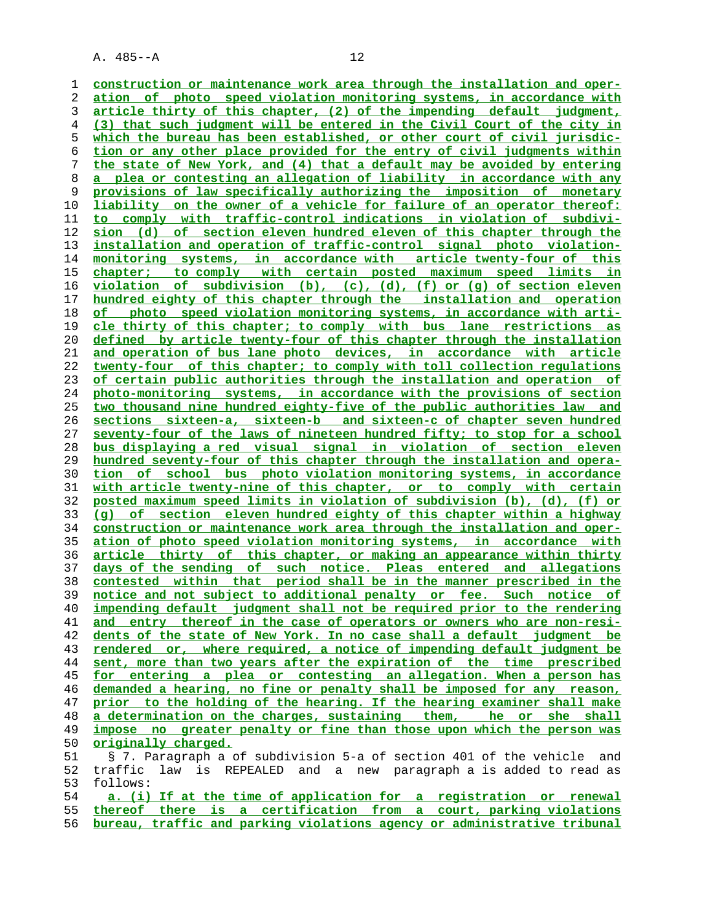**construction or maintenance work area through the installation and oper-**

**ation of photo speed violation monitoring systems, in accordance with article thirty of this chapter, (2) of the impending default judgment, (3) that such judgment will be entered in the Civil Court of the city in which the bureau has been established, or other court of civil jurisdic- tion or any other place provided for the entry of civil judgments within the state of New York, and (4) that a default may be avoided by entering a plea or contesting an allegation of liability in accordance with any provisions of law specifically authorizing the imposition of monetary liability on the owner of a vehicle for failure of an operator thereof: to comply with traffic-control indications in violation of subdivi- sion (d) of section eleven hundred eleven of this chapter through the installation and operation of traffic-control signal photo violation- monitoring systems, in accordance with article twenty-four of this chapter; to comply with certain posted maximum speed limits in violation of subdivision (b), (c), (d), (f) or (g) of section eleven hundred eighty of this chapter through the installation and operation of photo speed violation monitoring systems, in accordance with arti- cle thirty of this chapter; to comply with bus lane restrictions as defined by article twenty-four of this chapter through the installation and operation of bus lane photo devices, in accordance with article twenty-four of this chapter; to comply with toll collection regulations of certain public authorities through the installation and operation of photo-monitoring systems, in accordance with the provisions of section two thousand nine hundred eighty-five of the public authorities law and sections sixteen-a, sixteen-b and sixteen-c of chapter seven hundred seventy-four of the laws of nineteen hundred fifty; to stop for a school bus displaying a red visual signal in violation of section eleven hundred seventy-four of this chapter through the installation and opera- tion of school bus photo violation monitoring systems, in accordance with article twenty-nine of this chapter, or to comply with certain posted maximum speed limits in violation of subdivision (b), (d), (f) or (g) of section eleven hundred eighty of this chapter within a highway construction or maintenance work area through the installation and oper- ation of photo speed violation monitoring systems, in accordance with article thirty of this chapter, or making an appearance within thirty days of the sending of such notice. Pleas entered and allegations contested within that period shall be in the manner prescribed in the notice and not subject to additional penalty or fee. Such notice of impending default judgment shall not be required prior to the rendering and entry thereof in the case of operators or owners who are non-resi- dents of the state of New York. In no case shall a default judgment be rendered or, where required, a notice of impending default judgment be sent, more than two years after the expiration of the time prescribed for entering a plea or contesting an allegation. When a person has demanded a hearing, no fine or penalty shall be imposed for any reason, prior to the holding of the hearing. If the hearing examiner shall make a determination on the charges, sustaining them, he or she shall impose no greater penalty or fine than those upon which the person was originally charged.** 51 § 7. Paragraph a of subdivision 5-a of section 401 of the vehicle and 52 traffic law is REPEALED and a new paragraph a is added to read as 53 follows: **a. (i) If at the time of application for a registration or renewal**

**thereof there is a certification from a court, parking violations bureau, traffic and parking violations agency or administrative tribunal**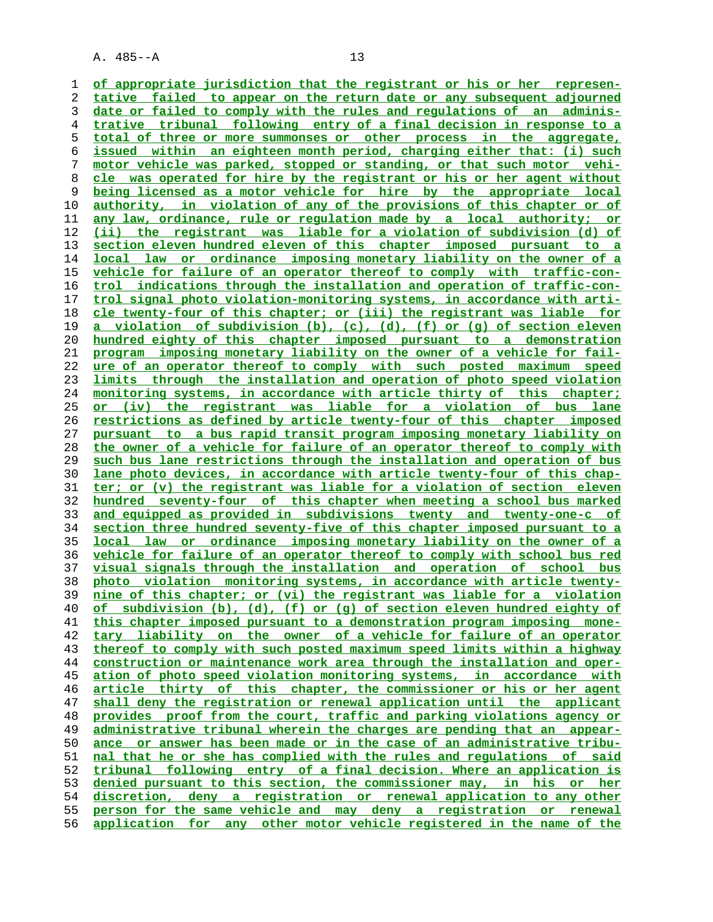**of appropriate jurisdiction that the registrant or his or her represen- tative failed to appear on the return date or any subsequent adjourned date or failed to comply with the rules and regulations of an adminis- trative tribunal following entry of a final decision in response to a total of three or more summonses or other process in the aggregate, issued within an eighteen month period, charging either that: (i) such motor vehicle was parked, stopped or standing, or that such motor vehi- cle was operated for hire by the registrant or his or her agent without being licensed as a motor vehicle for hire by the appropriate local authority, in violation of any of the provisions of this chapter or of any law, ordinance, rule or regulation made by a local authority; or (ii) the registrant was liable for a violation of subdivision (d) of section eleven hundred eleven of this chapter imposed pursuant to a local law or ordinance imposing monetary liability on the owner of a vehicle for failure of an operator thereof to comply with traffic-con- trol indications through the installation and operation of traffic-con- trol signal photo violation-monitoring systems, in accordance with arti- cle twenty-four of this chapter; or (iii) the registrant was liable for a violation of subdivision (b), (c), (d), (f) or (g) of section eleven hundred eighty of this chapter imposed pursuant to a demonstration program imposing monetary liability on the owner of a vehicle for fail- ure of an operator thereof to comply with such posted maximum speed limits through the installation and operation of photo speed violation monitoring systems, in accordance with article thirty of this chapter; or (iv) the registrant was liable for a violation of bus lane restrictions as defined by article twenty-four of this chapter imposed pursuant to a bus rapid transit program imposing monetary liability on the owner of a vehicle for failure of an operator thereof to comply with such bus lane restrictions through the installation and operation of bus lane photo devices, in accordance with article twenty-four of this chap- ter; or (v) the registrant was liable for a violation of section eleven hundred seventy-four of this chapter when meeting a school bus marked and equipped as provided in subdivisions twenty and twenty-one-c of section three hundred seventy-five of this chapter imposed pursuant to a local law or ordinance imposing monetary liability on the owner of a vehicle for failure of an operator thereof to comply with school bus red visual signals through the installation and operation of school bus photo violation monitoring systems, in accordance with article twenty- nine of this chapter; or (vi) the registrant was liable for a violation of subdivision (b), (d), (f) or (g) of section eleven hundred eighty of this chapter imposed pursuant to a demonstration program imposing mone- tary liability on the owner of a vehicle for failure of an operator thereof to comply with such posted maximum speed limits within a highway construction or maintenance work area through the installation and oper- ation of photo speed violation monitoring systems, in accordance with article thirty of this chapter, the commissioner or his or her agent shall deny the registration or renewal application until the applicant provides proof from the court, traffic and parking violations agency or administrative tribunal wherein the charges are pending that an appear- ance or answer has been made or in the case of an administrative tribu- nal that he or she has complied with the rules and regulations of said tribunal following entry of a final decision. Where an application is denied pursuant to this section, the commissioner may, in his or her discretion, deny a registration or renewal application to any other person for the same vehicle and may deny a registration or renewal application for any other motor vehicle registered in the name of the**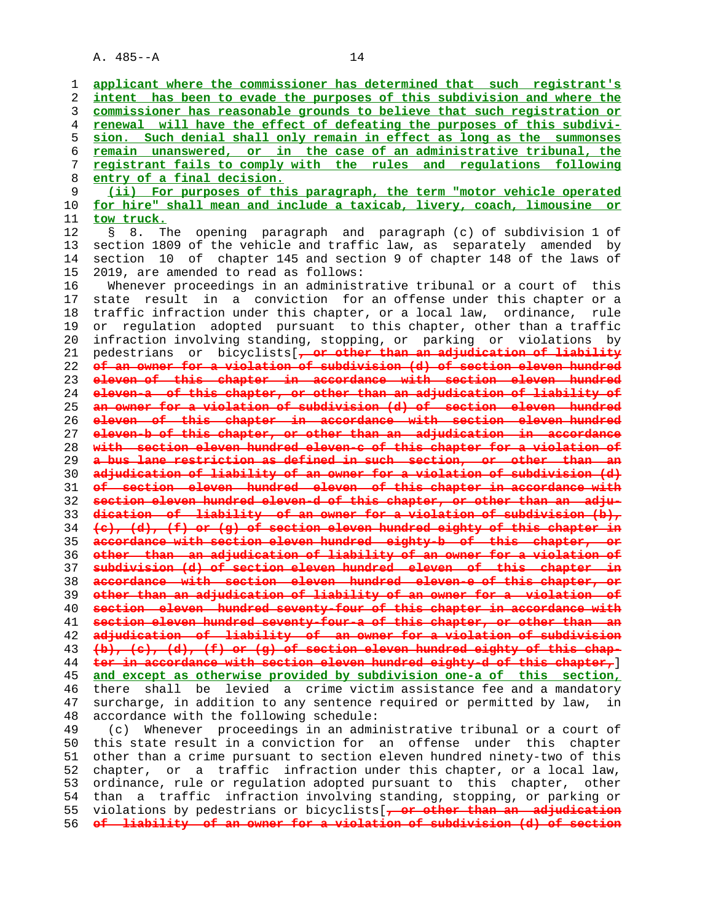**applicant where the commissioner has determined that such registrant's intent has been to evade the purposes of this subdivision and where the commissioner has reasonable grounds to believe that such registration or renewal will have the effect of defeating the purposes of this subdivi- sion. Such denial shall only remain in effect as long as the summonses remain unanswered, or in the case of an administrative tribunal, the registrant fails to comply with the rules and regulations following entry of a final decision. (ii) For purposes of this paragraph, the term "motor vehicle operated for hire" shall mean and include a taxicab, livery, coach, limousine or tow truck.** 12 § 8. The opening paragraph and paragraph (c) of subdivision 1 of 13 section 1809 of the vehicle and traffic law, as separately amended by 14 section 10 of chapter 145 and section 9 of chapter 148 of the laws of 15 2019, are amended to read as follows: 16 Whenever proceedings in an administrative tribunal or a court of this 17 state result in a conviction for an offense under this chapter or a 18 traffic infraction under this chapter, or a local law, ordinance, rule 19 or regulation adopted pursuant to this chapter, other than a traffic 20 infraction involving standing, stopping, or parking or violations by 21 pedestrians or bicyclists[**, or other than an adjudication of liability of an owner for a violation of subdivision (d) of section eleven hundred eleven of this chapter in accordance with section eleven hundred eleven-a of this chapter, or other than an adjudication of liability of an owner for a violation of subdivision (d) of section eleven hundred eleven of this chapter in accordance with section eleven hundred eleven-b of this chapter, or other than an adjudication in accordance with section eleven hundred eleven-c of this chapter for a violation of a bus lane restriction as defined in such section, or other than an adjudication of liability of an owner for a violation of subdivision (d) of section eleven hundred eleven of this chapter in accordance with section eleven hundred eleven-d of this chapter, or other than an adju- dication of liability of an owner for a violation of subdivision (b), (c), (d), (f) or (g) of section eleven hundred eighty of this chapter in accordance with section eleven hundred eighty-b of this chapter, or other than an adjudication of liability of an owner for a violation of subdivision (d) of section eleven hundred eleven of this chapter in accordance with section eleven hundred eleven-e of this chapter, or other than an adjudication of liability of an owner for a violation of section eleven hundred seventy-four of this chapter in accordance with section eleven hundred seventy-four-a of this chapter, or other than an adjudication of liability of an owner for a violation of subdivision (b), (c), (d), (f) or (g) of section eleven hundred eighty of this chap- ter in accordance with section eleven hundred eighty-d of this chapter,**] **and except as otherwise provided by subdivision one-a of this section,** 46 there shall be levied a crime victim assistance fee and a mandatory 47 surcharge, in addition to any sentence required or permitted by law, in 48 accordance with the following schedule: 49 (c) Whenever proceedings in an administrative tribunal or a court of 50 this state result in a conviction for an offense under this chapter 51 other than a crime pursuant to section eleven hundred ninety-two of this 52 chapter, or a traffic infraction under this chapter, or a local law, 53 ordinance, rule or regulation adopted pursuant to this chapter, other 54 than a traffic infraction involving standing, stopping, or parking or 55 violations by pedestrians or bicyclists[**, or other than an adjudication of liability of an owner for a violation of subdivision (d) of section**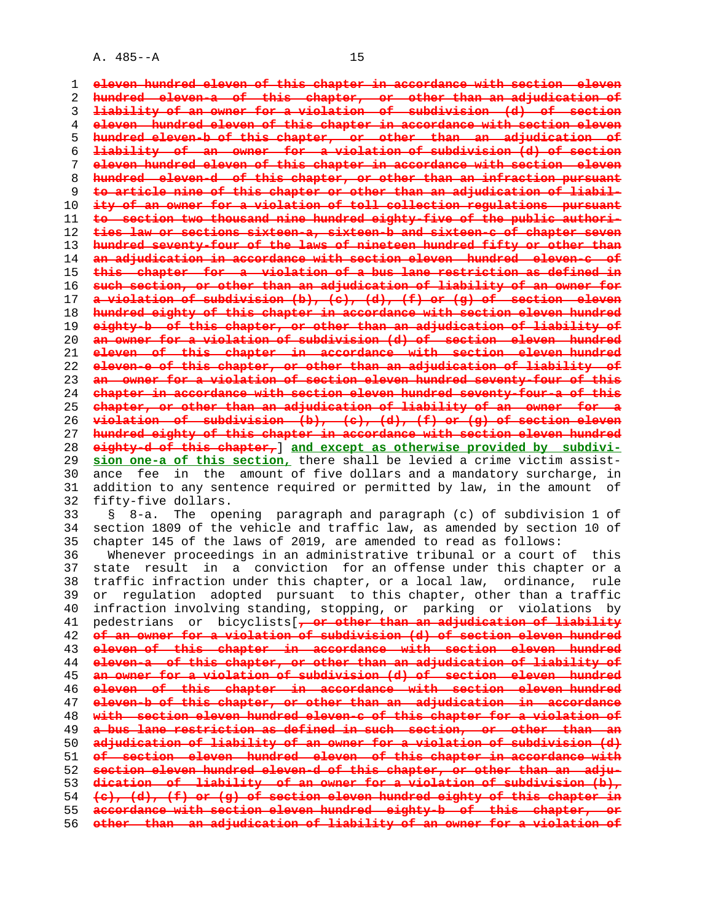**eleven hundred eleven of this chapter in accordance with section eleven hundred eleven-a of this chapter, or other than an adjudication of liability of an owner for a violation of subdivision (d) of section eleven hundred eleven of this chapter in accordance with section eleven hundred eleven-b of this chapter, or other than an adjudication of liability of an owner for a violation of subdivision (d) of section eleven hundred eleven of this chapter in accordance with section eleven hundred eleven-d of this chapter, or other than an infraction pursuant to article nine of this chapter or other than an adjudication of liabil- ity of an owner for a violation of toll collection regulations pursuant to section two thousand nine hundred eighty-five of the public authori- ties law or sections sixteen-a, sixteen-b and sixteen-c of chapter seven hundred seventy-four of the laws of nineteen hundred fifty or other than an adjudication in accordance with section eleven hundred eleven-c of this chapter for a violation of a bus lane restriction as defined in such section, or other than an adjudication of liability of an owner for a violation of subdivision (b), (c), (d), (f) or (g) of section eleven hundred eighty of this chapter in accordance with section eleven hundred eighty-b of this chapter, or other than an adjudication of liability of an owner for a violation of subdivision (d) of section eleven hundred eleven of this chapter in accordance with section eleven hundred eleven-e of this chapter, or other than an adjudication of liability of an owner for a violation of section eleven hundred seventy-four of this chapter in accordance with section eleven hundred seventy-four-a of this chapter, or other than an adjudication of liability of an owner for a violation of subdivision (b), (c), (d), (f) or (g) of section eleven hundred eighty of this chapter in accordance with section eleven hundred eighty-d of this chapter,**] **and except as otherwise provided by subdivi- sion one-a of this section,** there shall be levied a crime victim assist- 30 ance fee in the amount of five dollars and a mandatory surcharge, in 31 addition to any sentence required or permitted by law, in the amount of 32 fifty-five dollars. 33 § 8-a. The opening paragraph and paragraph (c) of subdivision 1 of 34 section 1809 of the vehicle and traffic law, as amended by section 10 of 35 chapter 145 of the laws of 2019, are amended to read as follows: 36 Whenever proceedings in an administrative tribunal or a court of this 37 state result in a conviction for an offense under this chapter or a 38 traffic infraction under this chapter, or a local law, ordinance, rule 39 or regulation adopted pursuant to this chapter, other than a traffic 40 infraction involving standing, stopping, or parking or violations by 41 pedestrians or bicyclists[**, or other than an adjudication of liability of an owner for a violation of subdivision (d) of section eleven hundred eleven of this chapter in accordance with section eleven hundred eleven-a of this chapter, or other than an adjudication of liability of an owner for a violation of subdivision (d) of section eleven hundred eleven of this chapter in accordance with section eleven hundred eleven-b of this chapter, or other than an adjudication in accordance with section eleven hundred eleven-c of this chapter for a violation of a bus lane restriction as defined in such section, or other than an adjudication of liability of an owner for a violation of subdivision (d) of section eleven hundred eleven of this chapter in accordance with section eleven hundred eleven-d of this chapter, or other than an adju- dication of liability of an owner for a violation of subdivision (b), (c), (d), (f) or (g) of section eleven hundred eighty of this chapter in**

**accordance with section eleven hundred eighty-b of this chapter, or other than an adjudication of liability of an owner for a violation of**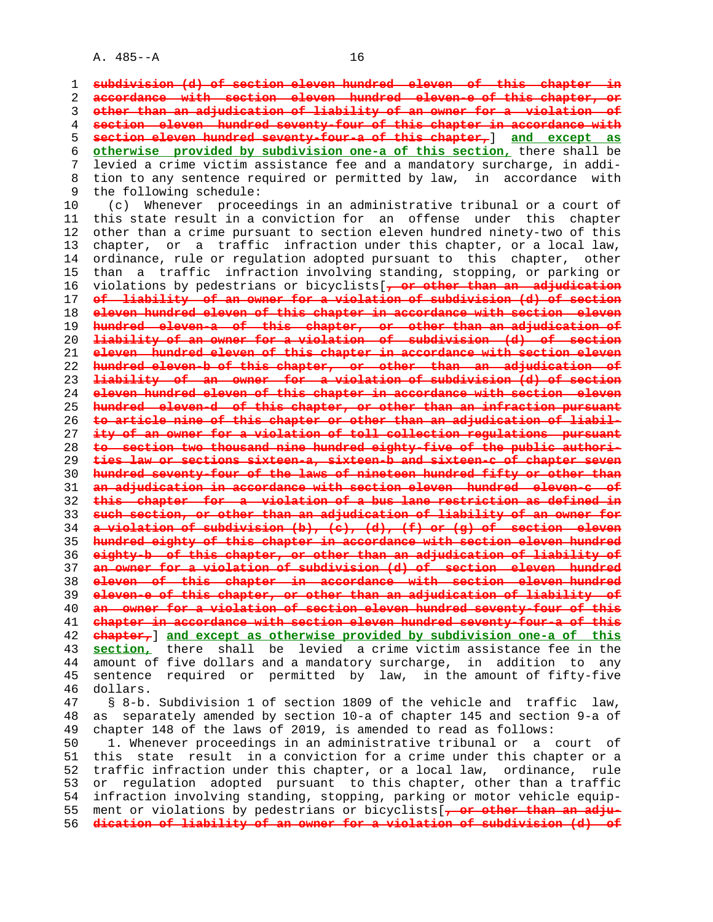**subdivision (d) of section eleven hundred eleven of this chapter in accordance with section eleven hundred eleven-e of this chapter, or other than an adjudication of liability of an owner for a violation of section eleven hundred seventy-four of this chapter in accordance with section eleven hundred seventy-four-a of this chapter,**] **and except as otherwise provided by subdivision one-a of this section,** there shall be 7 levied a crime victim assistance fee and a mandatory surcharge, in addi- 8 tion to any sentence required or permitted by law, in accordance with<br>9 the following schedule: the following schedule:

 10 (c) Whenever proceedings in an administrative tribunal or a court of 11 this state result in a conviction for an offense under this chapter 12 other than a crime pursuant to section eleven hundred ninety-two of this 13 chapter, or a traffic infraction under this chapter, or a local law, 14 ordinance, rule or regulation adopted pursuant to this chapter, other 15 than a traffic infraction involving standing, stopping, or parking or 16 violations by pedestrians or bicyclists[**, or other than an adjudication of liability of an owner for a violation of subdivision (d) of section eleven hundred eleven of this chapter in accordance with section eleven hundred eleven-a of this chapter, or other than an adjudication of liability of an owner for a violation of subdivision (d) of section eleven hundred eleven of this chapter in accordance with section eleven hundred eleven-b of this chapter, or other than an adjudication of liability of an owner for a violation of subdivision (d) of section eleven hundred eleven of this chapter in accordance with section eleven hundred eleven-d of this chapter, or other than an infraction pursuant to article nine of this chapter or other than an adjudication of liabil- ity of an owner for a violation of toll collection regulations pursuant to section two thousand nine hundred eighty-five of the public authori- ties law or sections sixteen-a, sixteen-b and sixteen-c of chapter seven hundred seventy-four of the laws of nineteen hundred fifty or other than an adjudication in accordance with section eleven hundred eleven-c of this chapter for a violation of a bus lane restriction as defined in such section, or other than an adjudication of liability of an owner for a violation of subdivision (b), (c), (d), (f) or (g) of section eleven hundred eighty of this chapter in accordance with section eleven hundred eighty-b of this chapter, or other than an adjudication of liability of an owner for a violation of subdivision (d) of section eleven hundred eleven of this chapter in accordance with section eleven hundred eleven-e of this chapter, or other than an adjudication of liability of an owner for a violation of section eleven hundred seventy-four of this chapter in accordance with section eleven hundred seventy-four-a of this chapter,**] **and except as otherwise provided by subdivision one-a of this section,** there shall be levied a crime victim assistance fee in the 44 amount of five dollars and a mandatory surcharge, in addition to any 45 sentence required or permitted by law, in the amount of fifty-five 46 dollars. 47 § 8-b. Subdivision 1 of section 1809 of the vehicle and traffic law, 48 as separately amended by section 10-a of chapter 145 and section 9-a of 49 chapter 148 of the laws of 2019, is amended to read as follows:

 50 1. Whenever proceedings in an administrative tribunal or a court of 51 this state result in a conviction for a crime under this chapter or a 52 traffic infraction under this chapter, or a local law, ordinance, rule 53 or regulation adopted pursuant to this chapter, other than a traffic 54 infraction involving standing, stopping, parking or motor vehicle equip- 55 ment or violations by pedestrians or bicyclists[**, or other than an adju-** 56 **dication of liability of an owner for a violation of subdivision (d) of**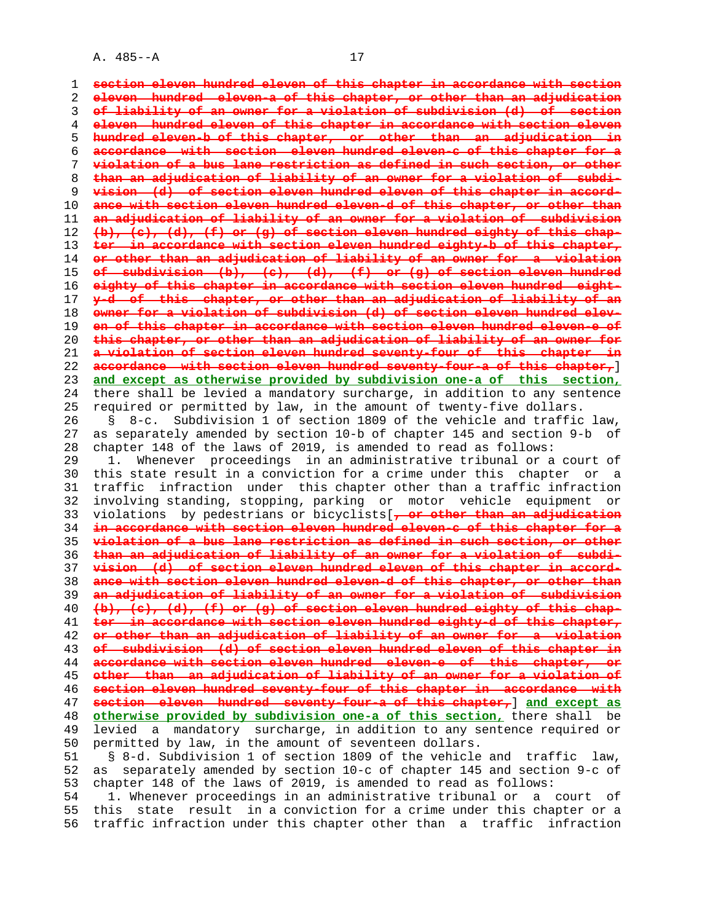**section eleven hundred eleven of this chapter in accordance with section eleven hundred eleven-a of this chapter, or other than an adjudication of liability of an owner for a violation of subdivision (d) of section eleven hundred eleven of this chapter in accordance with section eleven hundred eleven-b of this chapter, or other than an adjudication in accordance with section eleven hundred eleven-c of this chapter for a violation of a bus lane restriction as defined in such section, or other than an adjudication of liability of an owner for a violation of subdi- vision (d) of section eleven hundred eleven of this chapter in accord- ance with section eleven hundred eleven-d of this chapter, or other than an adjudication of liability of an owner for a violation of subdivision (b), (c), (d), (f) or (g) of section eleven hundred eighty of this chap- ter in accordance with section eleven hundred eighty-b of this chapter, or other than an adjudication of liability of an owner for a violation of subdivision (b), (c), (d), (f) or (g) of section eleven hundred eighty of this chapter in accordance with section eleven hundred eight- y-d of this chapter, or other than an adjudication of liability of an owner for a violation of subdivision (d) of section eleven hundred elev- en of this chapter in accordance with section eleven hundred eleven-e of this chapter, or other than an adjudication of liability of an owner for a violation of section eleven hundred seventy-four of this chapter in accordance with section eleven hundred seventy-four-a of this chapter,**] **and except as otherwise provided by subdivision one-a of this section,** 24 there shall be levied a mandatory surcharge, in addition to any sentence 25 required or permitted by law, in the amount of twenty-five dollars. 26 § 8-c. Subdivision 1 of section 1809 of the vehicle and traffic law, 27 as separately amended by section 10-b of chapter 145 and section 9-b of 28 chapter 148 of the laws of 2019, is amended to read as follows: 29 1. Whenever proceedings in an administrative tribunal or a court of 30 this state result in a conviction for a crime under this chapter or a 31 traffic infraction under this chapter other than a traffic infraction 32 involving standing, stopping, parking or motor vehicle equipment or 33 violations by pedestrians or bicyclists[**, or other than an adjudication in accordance with section eleven hundred eleven-c of this chapter for a violation of a bus lane restriction as defined in such section, or other than an adjudication of liability of an owner for a violation of subdi- vision (d) of section eleven hundred eleven of this chapter in accord- ance with section eleven hundred eleven-d of this chapter, or other than an adjudication of liability of an owner for a violation of subdivision (b), (c), (d), (f) or (g) of section eleven hundred eighty of this chap- ter in accordance with section eleven hundred eighty-d of this chapter, or other than an adjudication of liability of an owner for a violation of subdivision (d) of section eleven hundred eleven of this chapter in accordance with section eleven hundred eleven-e of this chapter, or other than an adjudication of liability of an owner for a violation of section eleven hundred seventy-four of this chapter in accordance with section eleven hundred seventy-four-a of this chapter,**] **and except as otherwise provided by subdivision one-a of this section,** there shall be 49 levied a mandatory surcharge, in addition to any sentence required or 50 permitted by law, in the amount of seventeen dollars. 51 § 8-d. Subdivision 1 of section 1809 of the vehicle and traffic law, 52 as separately amended by section 10-c of chapter 145 and section 9-c of 53 chapter 148 of the laws of 2019, is amended to read as follows: 54 1. Whenever proceedings in an administrative tribunal or a court of

 55 this state result in a conviction for a crime under this chapter or a 56 traffic infraction under this chapter other than a traffic infraction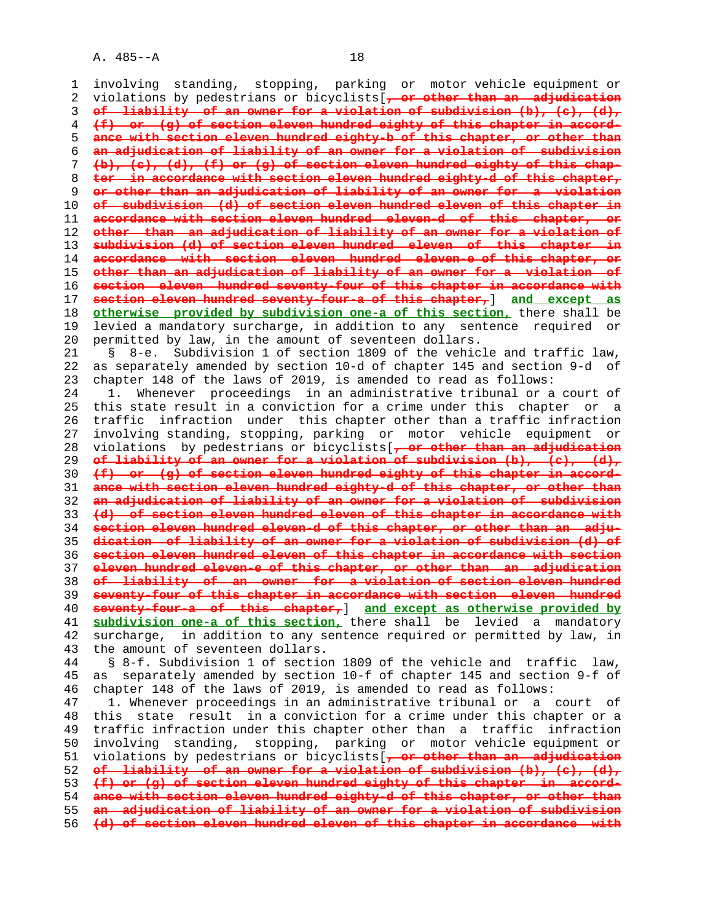1 involving standing, stopping, parking or motor vehicle equipment or 2 violations by pedestrians or bicyclists[**, or other than an adjudication** 3 **of liability of an owner for a violation of subdivision (b), (c), (d),** 4 **(f) or (g) of section eleven hundred eighty of this chapter in accord-** 5 **ance with section eleven hundred eighty-b of this chapter, or other than** 6 **an adjudication of liability of an owner for a violation of subdivision** 7 **(b), (c), (d), (f) or (g) of section eleven hundred eighty of this chap-** 8 **ter in accordance with section eleven hundred eighty-d of this chapter,** 9 **or other than an adjudication of liability of an owner for a violation** 10 **of subdivision (d) of section eleven hundred eleven of this chapter in** 11 **accordance with section eleven hundred eleven-d of this chapter, or** 12 **other than an adjudication of liability of an owner for a violation of** 13 **subdivision (d) of section eleven hundred eleven of this chapter in** 14 **accordance with section eleven hundred eleven-e of this chapter, or** 15 **other than an adjudication of liability of an owner for a violation of** 16 **section eleven hundred seventy-four of this chapter in accordance with** 17 **section eleven hundred seventy-four-a of this chapter,**] **and except as** 18 **otherwise provided by subdivision one-a of this section,** there shall be 19 levied a mandatory surcharge, in addition to any sentence required or 20 permitted by law, in the amount of seventeen dollars. 21 § 8-e. Subdivision 1 of section 1809 of the vehicle and traffic law, 22 as separately amended by section 10-d of chapter 145 and section 9-d of 23 chapter 148 of the laws of 2019, is amended to read as follows: 24 1. Whenever proceedings in an administrative tribunal or a court of 25 this state result in a conviction for a crime under this chapter or a 26 traffic infraction under this chapter other than a traffic infraction 27 involving standing, stopping, parking or motor vehicle equipment or 28 violations by pedestrians or bicyclists[**, or other than an adjudication** 29 **of liability of an owner for a violation of subdivision (b), (c), (d),** 30 **(f) or (g) of section eleven hundred eighty of this chapter in accord-** 31 **ance with section eleven hundred eighty-d of this chapter, or other than** 32 **an adjudication of liability of an owner for a violation of subdivision** 33 **(d) of section eleven hundred eleven of this chapter in accordance with** 34 **section eleven hundred eleven-d of this chapter, or other than an adju-** 35 **dication of liability of an owner for a violation of subdivision (d) of** 36 **section eleven hundred eleven of this chapter in accordance with section** 37 **eleven hundred eleven-e of this chapter, or other than an adjudication** 38 **of liability of an owner for a violation of section eleven hundred** 39 **seventy-four of this chapter in accordance with section eleven hundred** 40 **seventy-four-a of this chapter,**] **and except as otherwise provided by** 41 **subdivision one-a of this section,** there shall be levied a mandatory 42 surcharge, in addition to any sentence required or permitted by law, in 43 the amount of seventeen dollars. 44 § 8-f. Subdivision 1 of section 1809 of the vehicle and traffic law, 45 as separately amended by section 10-f of chapter 145 and section 9-f of 46 chapter 148 of the laws of 2019, is amended to read as follows: 47 1. Whenever proceedings in an administrative tribunal or a court of 48 this state result in a conviction for a crime under this chapter or a 49 traffic infraction under this chapter other than a traffic infraction 50 involving standing, stopping, parking or motor vehicle equipment or 51 violations by pedestrians or bicyclists[**, or other than an adjudication**

**of liability of an owner for a violation of subdivision (b), (c), (d), (f) or (g) of section eleven hundred eighty of this chapter in accord- ance with section eleven hundred eighty-d of this chapter, or other than an adjudication of liability of an owner for a violation of subdivision**

56 **(d) of section eleven hundred eleven of this chapter in accordance with**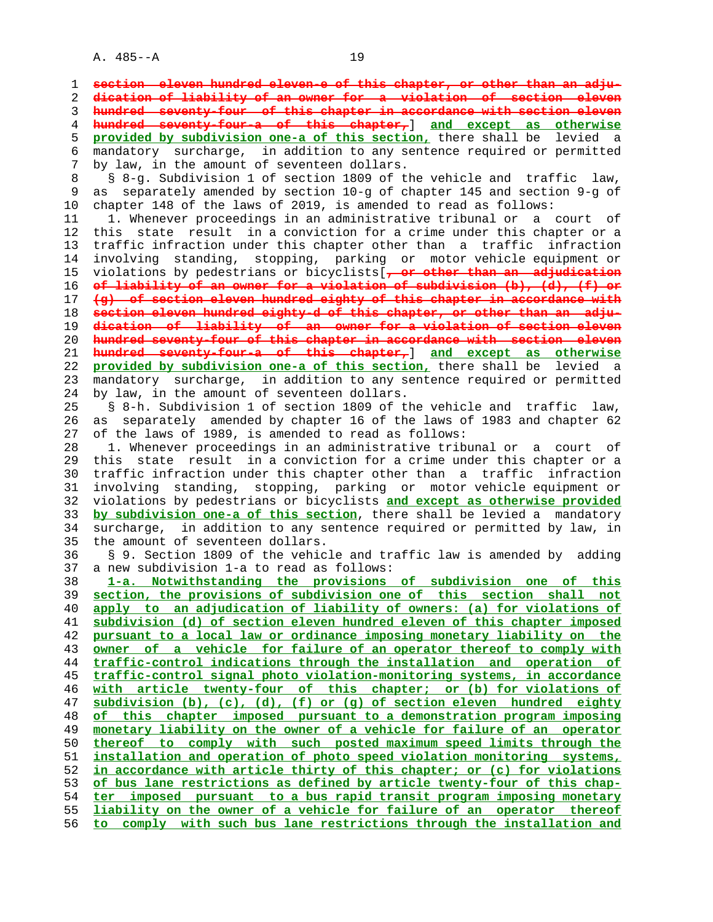1 **section eleven hundred eleven-e of this chapter, or other than an adju-** 2 **dication of liability of an owner for a violation of section eleven** 3 **hundred seventy-four of this chapter in accordance with section eleven** 4 **hundred seventy-four-a of this chapter,**] **and except as otherwise** 5 **provided by subdivision one-a of this section,** there shall be levied a 6 mandatory surcharge, in addition to any sentence required or permitted 7 by law, in the amount of seventeen dollars. 8 § 8-g. Subdivision 1 of section 1809 of the vehicle and traffic law, 9 as separately amended by section 10-g of chapter 145 and section 9-g of 10 chapter 148 of the laws of 2019, is amended to read as follows: 11 1. Whenever proceedings in an administrative tribunal or a court of 12 this state result in a conviction for a crime under this chapter or a 13 traffic infraction under this chapter other than a traffic infraction 14 involving standing, stopping, parking or motor vehicle equipment or 15 violations by pedestrians or bicyclists[**, or other than an adjudication** 16 **of liability of an owner for a violation of subdivision (b), (d), (f) or** 17 **(g) of section eleven hundred eighty of this chapter in accordance with** 18 **section eleven hundred eighty-d of this chapter, or other than an adju-** 19 **dication of liability of an owner for a violation of section eleven** 20 **hundred seventy-four of this chapter in accordance with section eleven** 21 **hundred seventy-four-a of this chapter,**] **and except as otherwise** 22 **provided by subdivision one-a of this section,** there shall be levied a 23 mandatory surcharge, in addition to any sentence required or permitted 24 by law, in the amount of seventeen dollars. 25 § 8-h. Subdivision 1 of section 1809 of the vehicle and traffic law, 26 as separately amended by chapter 16 of the laws of 1983 and chapter 62 27 of the laws of 1989, is amended to read as follows: 28 1. Whenever proceedings in an administrative tribunal or a court of 29 this state result in a conviction for a crime under this chapter or a 30 traffic infraction under this chapter other than a traffic infraction 31 involving standing, stopping, parking or motor vehicle equipment or 32 violations by pedestrians or bicyclists **and except as otherwise provided** 33 **by subdivision one-a of this section**, there shall be levied a mandatory 34 surcharge, in addition to any sentence required or permitted by law, in 35 the amount of seventeen dollars. 36 § 9. Section 1809 of the vehicle and traffic law is amended by adding 37 a new subdivision 1-a to read as follows: 38 **1-a. Notwithstanding the provisions of subdivision one of this** 39 **section, the provisions of subdivision one of this section shall not** 40 **apply to an adjudication of liability of owners: (a) for violations of** 41 **subdivision (d) of section eleven hundred eleven of this chapter imposed** 42 **pursuant to a local law or ordinance imposing monetary liability on the** 43 **owner of a vehicle for failure of an operator thereof to comply with** 44 **traffic-control indications through the installation and operation of** 45 **traffic-control signal photo violation-monitoring systems, in accordance** 46 **with article twenty-four of this chapter; or (b) for violations of** 47 **subdivision (b), (c), (d), (f) or (g) of section eleven hundred eighty** 48 **of this chapter imposed pursuant to a demonstration program imposing** 49 **monetary liability on the owner of a vehicle for failure of an operator** 50 **thereof to comply with such posted maximum speed limits through the** 51 **installation and operation of photo speed violation monitoring systems,** 52 **in accordance with article thirty of this chapter; or (c) for violations** 53 **of bus lane restrictions as defined by article twenty-four of this chap-** 54 **ter imposed pursuant to a bus rapid transit program imposing monetary** 55 **liability on the owner of a vehicle for failure of an operator thereof** 56 **to comply with such bus lane restrictions through the installation and**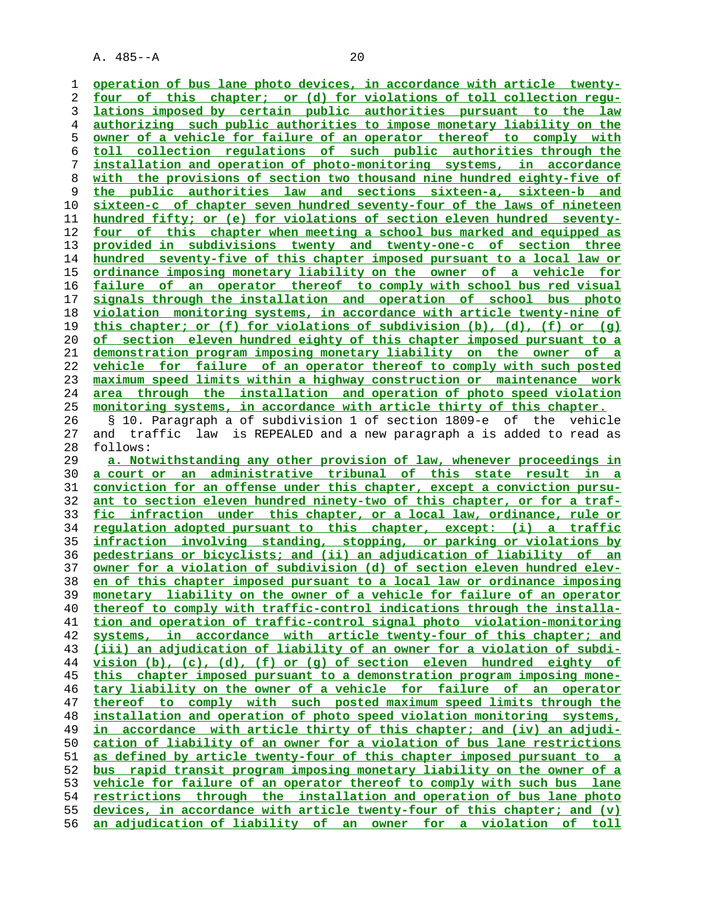**operation of bus lane photo devices, in accordance with article twenty- four of this chapter; or (d) for violations of toll collection regu- lations imposed by certain public authorities pursuant to the law authorizing such public authorities to impose monetary liability on the owner of a vehicle for failure of an operator thereof to comply with toll collection regulations of such public authorities through the installation and operation of photo-monitoring systems, in accordance with the provisions of section two thousand nine hundred eighty-five of the public authorities law and sections sixteen-a, sixteen-b and sixteen-c of chapter seven hundred seventy-four of the laws of nineteen hundred fifty; or (e) for violations of section eleven hundred seventy- four of this chapter when meeting a school bus marked and equipped as provided in subdivisions twenty and twenty-one-c of section three** hundred seventy-five of this chapter imposed pursuant to a local law or **ordinance imposing monetary liability on the owner of a vehicle for failure of an operator thereof to comply with school bus red visual signals through the installation and operation of school bus photo violation monitoring systems, in accordance with article twenty-nine of this chapter; or (f) for violations of subdivision (b), (d), (f) or (g) of section eleven hundred eighty of this chapter imposed pursuant to a demonstration program imposing monetary liability on the owner of a vehicle for failure of an operator thereof to comply with such posted maximum speed limits within a highway construction or maintenance work area through the installation and operation of photo speed violation monitoring systems, in accordance with article thirty of this chapter.** 26 § 10. Paragraph a of subdivision 1 of section 1809-e of the vehicle 27 and traffic law is REPEALED and a new paragraph a is added to read as 28 follows: **a. Notwithstanding any other provision of law, whenever proceedings in a court or an administrative tribunal of this state result in a conviction for an offense under this chapter, except a conviction pursu- ant to section eleven hundred ninety-two of this chapter, or for a traf- fic infraction under this chapter, or a local law, ordinance, rule or regulation adopted pursuant to this chapter, except: (i) a traffic infraction involving standing, stopping, or parking or violations by pedestrians or bicyclists; and (ii) an adjudication of liability of an owner for a violation of subdivision (d) of section eleven hundred elev- en of this chapter imposed pursuant to a local law or ordinance imposing monetary liability on the owner of a vehicle for failure of an operator thereof to comply with traffic-control indications through the installa- tion and operation of traffic-control signal photo violation-monitoring systems, in accordance with article twenty-four of this chapter; and (iii) an adjudication of liability of an owner for a violation of subdi- vision (b), (c), (d), (f) or (g) of section eleven hundred eighty of this chapter imposed pursuant to a demonstration program imposing mone- tary liability on the owner of a vehicle for failure of an operator thereof to comply with such posted maximum speed limits through the installation and operation of photo speed violation monitoring systems, in accordance with article thirty of this chapter; and (iv) an adjudi- cation of liability of an owner for a violation of bus lane restrictions as defined by article twenty-four of this chapter imposed pursuant to a bus rapid transit program imposing monetary liability on the owner of a vehicle for failure of an operator thereof to comply with such bus lane restrictions through the installation and operation of bus lane photo devices, in accordance with article twenty-four of this chapter; and (v) an adjudication of liability of an owner for a violation of toll**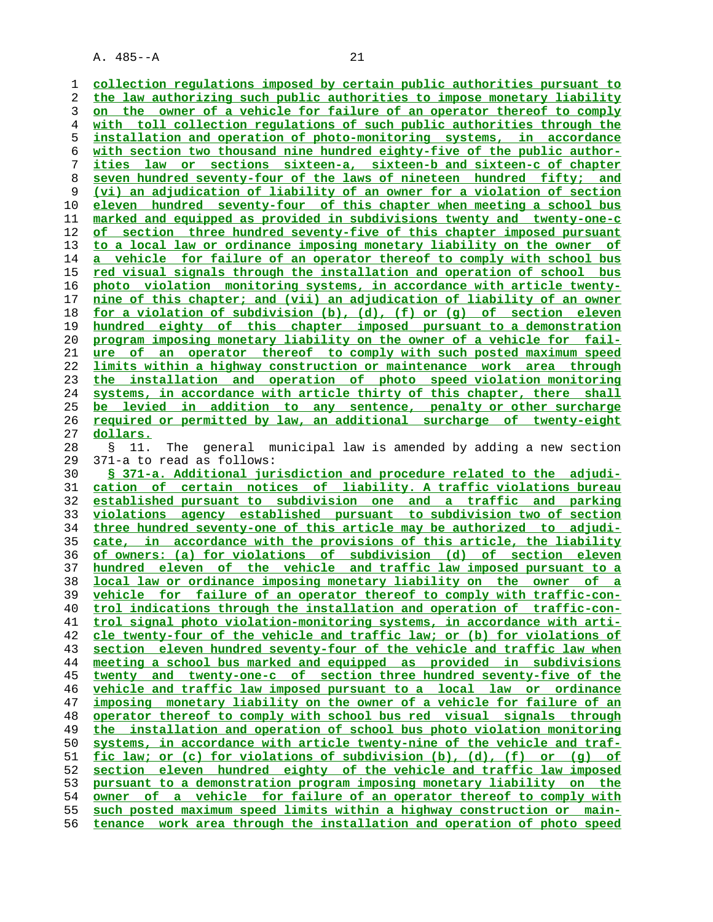**collection regulations imposed by certain public authorities pursuant to the law authorizing such public authorities to impose monetary liability on the owner of a vehicle for failure of an operator thereof to comply with toll collection regulations of such public authorities through the installation and operation of photo-monitoring systems, in accordance with section two thousand nine hundred eighty-five of the public author- ities law or sections sixteen-a, sixteen-b and sixteen-c of chapter seven hundred seventy-four of the laws of nineteen hundred fifty; and (vi) an adjudication of liability of an owner for a violation of section eleven hundred seventy-four of this chapter when meeting a school bus marked and equipped as provided in subdivisions twenty and twenty-one-c of section three hundred seventy-five of this chapter imposed pursuant to a local law or ordinance imposing monetary liability on the owner of a vehicle for failure of an operator thereof to comply with school bus red visual signals through the installation and operation of school bus photo violation monitoring systems, in accordance with article twenty- nine of this chapter; and (vii) an adjudication of liability of an owner for a violation of subdivision (b), (d), (f) or (g) of section eleven hundred eighty of this chapter imposed pursuant to a demonstration program imposing monetary liability on the owner of a vehicle for fail- ure of an operator thereof to comply with such posted maximum speed limits within a highway construction or maintenance work area through the installation and operation of photo speed violation monitoring systems, in accordance with article thirty of this chapter, there shall be levied in addition to any sentence, penalty or other surcharge required or permitted by law, an additional surcharge of twenty-eight dollars.** 28 § 11. The general municipal law is amended by adding a new section 29 371-a to read as follows: **§ 371-a. Additional jurisdiction and procedure related to the adjudi- cation of certain notices of liability. A traffic violations bureau established pursuant to subdivision one and a traffic and parking**

**violations agency established pursuant to subdivision two of section three hundred seventy-one of this article may be authorized to adjudi- cate, in accordance with the provisions of this article, the liability of owners: (a) for violations of subdivision (d) of section eleven hundred eleven of the vehicle and traffic law imposed pursuant to a local law or ordinance imposing monetary liability on the owner of a vehicle for failure of an operator thereof to comply with traffic-con- trol indications through the installation and operation of traffic-con- trol signal photo violation-monitoring systems, in accordance with arti- cle twenty-four of the vehicle and traffic law; or (b) for violations of section eleven hundred seventy-four of the vehicle and traffic law when meeting a school bus marked and equipped as provided in subdivisions twenty and twenty-one-c of section three hundred seventy-five of the vehicle and traffic law imposed pursuant to a local law or ordinance imposing monetary liability on the owner of a vehicle for failure of an operator thereof to comply with school bus red visual signals through the installation and operation of school bus photo violation monitoring systems, in accordance with article twenty-nine of the vehicle and traf- fic law; or (c) for violations of subdivision (b), (d), (f) or (g) of section eleven hundred eighty of the vehicle and traffic law imposed pursuant to a demonstration program imposing monetary liability on the owner of a vehicle for failure of an operator thereof to comply with such posted maximum speed limits within a highway construction or main- tenance work area through the installation and operation of photo speed**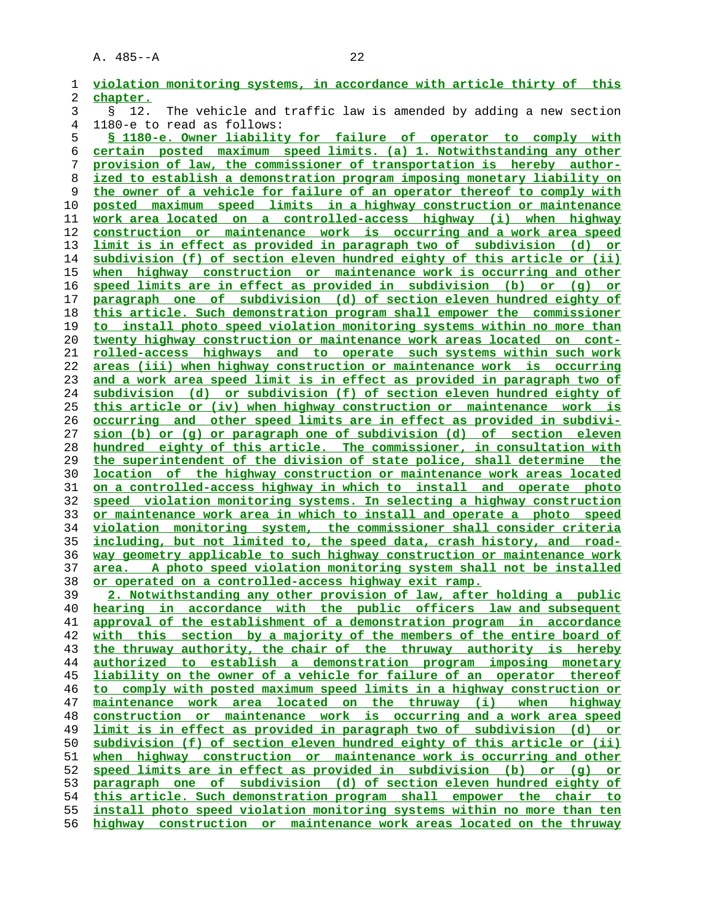| 1  | violation monitoring systems, in accordance with article thirty of this         |
|----|---------------------------------------------------------------------------------|
| 2  | chapter.                                                                        |
| 3  | The vehicle and traffic law is amended by adding a new section<br>12.<br>Ş.     |
| 4  | 1180-e to read as follows:                                                      |
| 5  | § 1180-e. Owner liability for failure of operator to comply with                |
| 6  | certain posted maximum speed limits. (a) 1. Notwithstanding any other           |
| 7  | provision of law, the commissioner of transportation is hereby author-          |
| 8  | ized to establish a demonstration program imposing monetary liability on        |
| 9  | the owner of a vehicle for failure of an operator thereof to comply with        |
| 10 | posted maximum speed limits in a highway construction or maintenance            |
| 11 | work area located on a controlled-access highway (i) when highway               |
| 12 | construction or maintenance work is occurring and a work area speed             |
| 13 | <u>limit is in effect as provided in paragraph two of subdivision (d)</u><br>or |
| 14 | subdivision (f) of section eleven hundred eighty of this article or (ii)        |
| 15 | when highway construction or maintenance work is occurring and other            |
| 16 | speed limits are in effect as provided in subdivision (b)<br>or $(q)$ or        |
| 17 | paragraph one of subdivision (d) of section eleven hundred eighty of            |
| 18 | this article. Such demonstration program shall empower the commissioner         |
| 19 | to install photo speed violation monitoring systems within no more than         |
| 20 | twenty highway construction or maintenance work areas located on cont-          |
| 21 | rolled-access highways and to operate such systems within such work             |
| 22 | areas (iii) when highway construction or maintenance work is occurring          |
| 23 | and a work area speed limit is in effect as provided in paragraph two of        |
| 24 | subdivision (d) or subdivision (f) of section eleven hundred eighty of          |
| 25 | this article or (iv) when highway construction or maintenance work is           |
| 26 | <u>occurring and other speed limits are in effect as provided in subdivi-</u>   |
| 27 | sion (b) or (q) or paragraph one of subdivision (d) of section eleven           |
| 28 | hundred eighty of this article. The commissioner, in consultation with          |
| 29 | the superintendent of the division of state police, shall determine the         |
| 30 | location of the highway construction or maintenance work areas located          |
| 31 | <u>on a controlled-access highway in which to install and operate photo</u>     |
| 32 | speed violation monitoring systems. In selecting a highway construction         |
| 33 | or maintenance work area in which to install and operate a photo speed          |
| 34 | violation monitoring system, the commissioner shall consider criteria           |
| 35 | including, but not limited to, the speed data, crash history, and road-         |
| 36 | way geometry applicable to such highway construction or maintenance work        |
| 37 | area. A photo speed violation monitoring system shall not be installed          |
| 38 | <u>or operated on a controlled-access highway exit ramp.</u>                    |
| 39 | 2. Notwithstanding any other provision of law, after holding a public           |
| 40 | hearing in accordance with the public officers law and subsequent               |
| 41 | approval of the establishment of a demonstration program in accordance          |
| 42 | with this section by a majority of the members of the entire board of           |
| 43 | the thruway authority, the chair of the thruway authority is hereby             |
| 44 | authorized to establish a demonstration program imposing monetary               |
| 45 | liability on the owner of a vehicle for failure of an operator thereof          |
| 46 | to comply with posted maximum speed limits in a highway construction or         |
| 47 | maintenance work area located on the thruway (i) when highway                   |
| 48 | construction or maintenance work is occurring and a work area speed             |
| 49 | limit is in effect as provided in paragraph two of subdivision (d) or           |
| 50 | subdivision (f) of section eleven hundred eighty of this article or (ii)        |
| 51 | when highway construction or maintenance work is occurring and other            |
| 52 | speed limits are in effect as provided in subdivision (b) or (q) or             |
| 53 | paragraph one of subdivision (d) of section eleven hundred eighty of            |
| 54 | this article. Such demonstration program shall empower the chair to             |
| 55 | install photo speed violation monitoring systems within no more than ten        |
| 56 | highway construction or maintenance work areas located on the thruway           |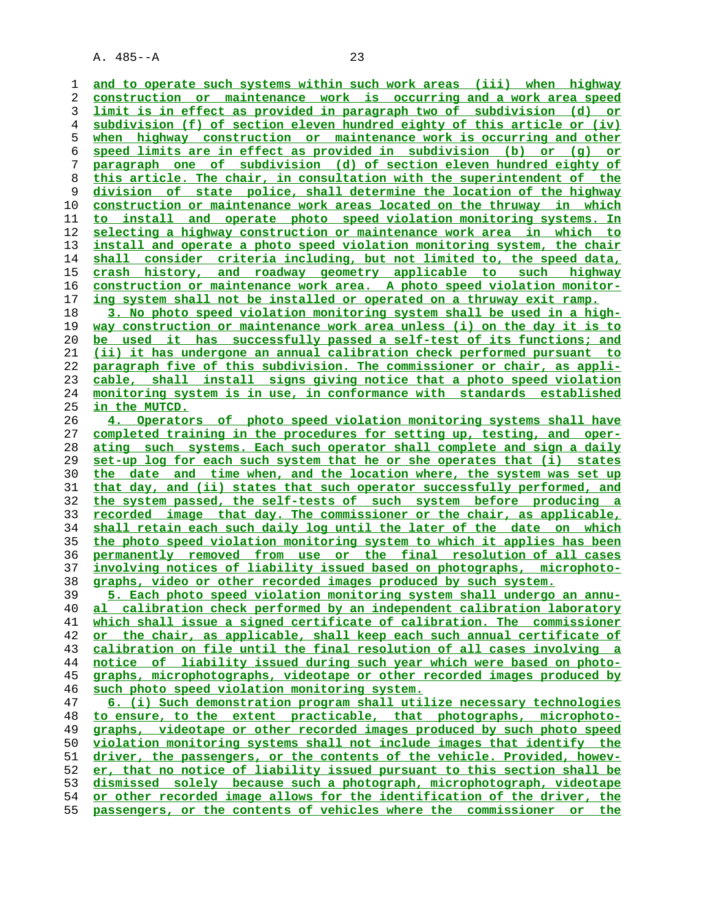**and to operate such systems within such work areas (iii) when highway construction or maintenance work is occurring and a work area speed limit is in effect as provided in paragraph two of subdivision (d) or subdivision (f) of section eleven hundred eighty of this article or (iv) when highway construction or maintenance work is occurring and other speed limits are in effect as provided in subdivision (b) or (g) or paragraph one of subdivision (d) of section eleven hundred eighty of this article. The chair, in consultation with the superintendent of the division of state police, shall determine the location of the highway construction or maintenance work areas located on the thruway in which to install and operate photo speed violation monitoring systems. In selecting a highway construction or maintenance work area in which to install and operate a photo speed violation monitoring system, the chair shall consider criteria including, but not limited to, the speed data, crash history, and roadway geometry applicable to such highway construction or maintenance work area. A photo speed violation monitor- ing system shall not be installed or operated on a thruway exit ramp. 3. No photo speed violation monitoring system shall be used in a high- way construction or maintenance work area unless (i) on the day it is to be used it has successfully passed a self-test of its functions; and (ii) it has undergone an annual calibration check performed pursuant to paragraph five of this subdivision. The commissioner or chair, as appli- cable, shall install signs giving notice that a photo speed violation monitoring system is in use, in conformance with standards established in the MUTCD. 4. Operators of photo speed violation monitoring systems shall have completed training in the procedures for setting up, testing, and oper- ating such systems. Each such operator shall complete and sign a daily set-up log for each such system that he or she operates that (i) states the date and time when, and the location where, the system was set up**

**that day, and (ii) states that such operator successfully performed, and the system passed, the self-tests of such system before producing a recorded image that day. The commissioner or the chair, as applicable, shall retain each such daily log until the later of the date on which the photo speed violation monitoring system to which it applies has been permanently removed from use or the final resolution of all cases involving notices of liability issued based on photographs, microphoto- graphs, video or other recorded images produced by such system.**

**5. Each photo speed violation monitoring system shall undergo an annu- al calibration check performed by an independent calibration laboratory which shall issue a signed certificate of calibration. The commissioner or the chair, as applicable, shall keep each such annual certificate of calibration on file until the final resolution of all cases involving a notice of liability issued during such year which were based on photo- graphs, microphotographs, videotape or other recorded images produced by such photo speed violation monitoring system.**

**6. (i) Such demonstration program shall utilize necessary technologies to ensure, to the extent practicable, that photographs, microphoto- graphs, videotape or other recorded images produced by such photo speed violation monitoring systems shall not include images that identify the driver, the passengers, or the contents of the vehicle. Provided, howev- er, that no notice of liability issued pursuant to this section shall be dismissed solely because such a photograph, microphotograph, videotape or other recorded image allows for the identification of the driver, the passengers, or the contents of vehicles where the commissioner or the**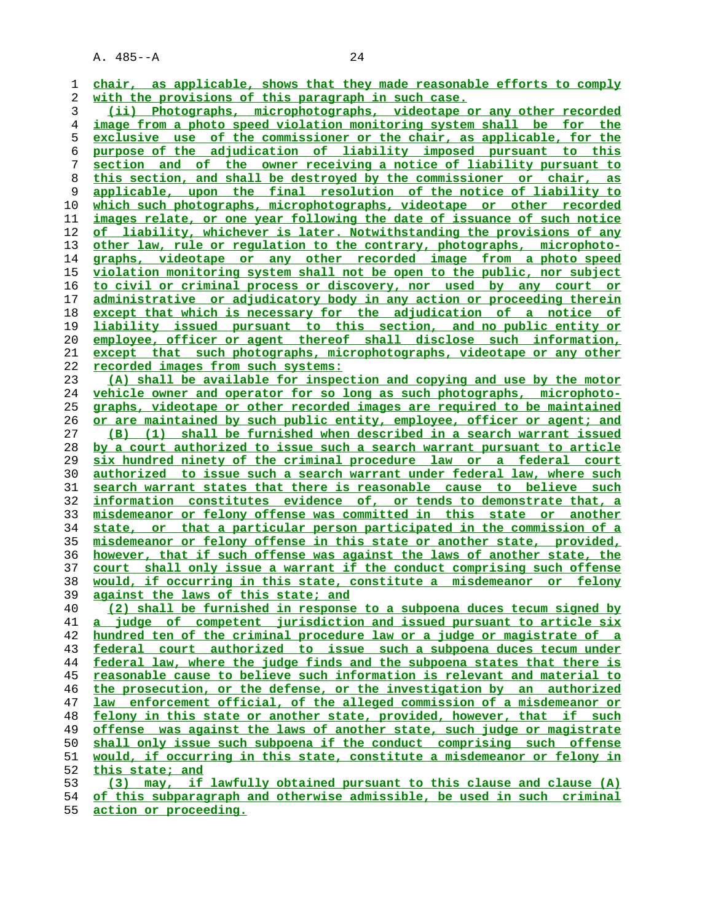| 1              | chair, as applicable, shows that they made reasonable efforts to comply                                                                             |
|----------------|-----------------------------------------------------------------------------------------------------------------------------------------------------|
| 2              | with the provisions of this paragraph in such case.                                                                                                 |
| 3              | (ii) Photographs, microphotographs, videotape or any other recorded                                                                                 |
| $\overline{4}$ | image from a photo speed violation monitoring system shall be for the                                                                               |
| 5              | exclusive use of the commissioner or the chair, as applicable, for the                                                                              |
| 6              | purpose of the adjudication of liability imposed pursuant to this                                                                                   |
| 7              | and of the owner receiving a notice of liability pursuant to<br>section                                                                             |
| 8              | this section, and shall be destroyed by the commissioner or chair, as                                                                               |
| 9              | applicable, upon the final resolution of the notice of liability to                                                                                 |
| 10             | which such photographs, microphotographs, videotape or other recorded                                                                               |
| 11             | images relate, or one year following the date of issuance of such notice                                                                            |
| 12             | of liability, whichever is later. Notwithstanding the provisions of any                                                                             |
| 13             | other law, rule or regulation to the contrary, photographs, microphoto-                                                                             |
| 14             | graphs, videotape or any other recorded image from a photo speed                                                                                    |
| 15             | violation monitoring system shall not be open to the public, nor subject                                                                            |
| 16             | to civil or criminal process or discovery, nor used by any court or                                                                                 |
| 17             | administrative or adjudicatory body in any action or proceeding therein                                                                             |
| 18             | except that which is necessary for the adjudication of a notice of                                                                                  |
| 19             | liability issued pursuant to this section, and no public entity or                                                                                  |
| 20             | employee, officer or agent thereof shall disclose such information,                                                                                 |
| 21             | except that such photographs, microphotographs, videotape or any other                                                                              |
| 22             | recorded images from such systems:                                                                                                                  |
| 23             | (A) shall be available for inspection and copying and use by the motor                                                                              |
| 24             | vehicle owner and operator for so long as such photographs, microphoto-                                                                             |
| 25             | graphs, videotape or other recorded images are required to be maintained                                                                            |
| 26             | or are maintained by such public entity, employee, officer or agent; and                                                                            |
| 27             | shall be furnished when described in a search warrant issued<br>(B) (1)                                                                             |
| 28             | by a court authorized to issue such a search warrant pursuant to article                                                                            |
| 29             | six hundred ninety of the criminal procedure law or a federal court                                                                                 |
| 30             | authorized to issue such a search warrant under federal law, where such                                                                             |
| 31             | search warrant states that there is reasonable cause to believe such                                                                                |
| 32             | information constitutes evidence of, or tends to demonstrate that, a                                                                                |
| 33             | misdemeanor or felony offense was committed in this state or another                                                                                |
| 34             | state, or that a particular person participated in the commission of a                                                                              |
| 35<br>36       | misdemeanor or felony offense in this state or another state, provided,<br>however, that if such offense was against the laws of another state, the |
| 37             | court shall only issue a warrant if the conduct comprising such offense                                                                             |
| 38             | would, if occurring in this state, constitute a misdemeanor or felony                                                                               |
| 39             | against the laws of this state; and                                                                                                                 |
| 40             | (2) shall be furnished in response to a subpoena duces tecum signed by                                                                              |
| 41             | judge of competent jurisdiction and issued pursuant to article six<br>a                                                                             |
| 42             | hundred ten of the criminal procedure law or a judge or magistrate of a                                                                             |
| 43             | federal court authorized to issue such a subpoena duces tecum under                                                                                 |
| 44             | federal law, where the judge finds and the subpoena states that there is                                                                            |
| 45             | <u>reasonable cause to believe such information is relevant and material to</u>                                                                     |
| 46             | the prosecution, or the defense, or the investigation by an authorized                                                                              |
| 47             | enforcement official, of the alleged commission of a misdemeanor or<br>law                                                                          |
| 48             | felony in this state or another state, provided, however, that if such                                                                              |
| 49             | offense was against the laws of another state, such judge or magistrate                                                                             |
| 50             | shall only issue such subpoena if the conduct comprising such offense                                                                               |
| 51             | would, if occurring in this state, constitute a misdemeanor or felony in                                                                            |
| 52             | this state; and                                                                                                                                     |
| 53             | (3) may, if lawfully obtained pursuant to this clause and clause (A)                                                                                |
| 54             | of this subparagraph and otherwise admissible, be used in such criminal                                                                             |
|                |                                                                                                                                                     |

**action or proceeding.**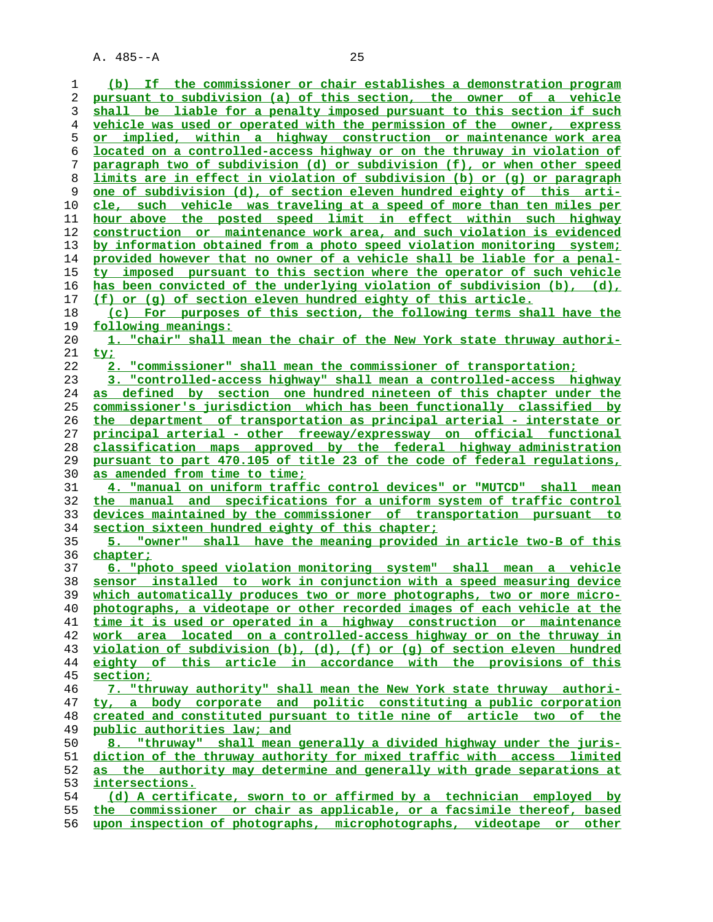**(b) If the commissioner or chair establishes a demonstration program pursuant to subdivision (a) of this section, the owner of a vehicle shall be liable for a penalty imposed pursuant to this section if such vehicle was used or operated with the permission of the owner, express or implied, within a highway construction or maintenance work area located on a controlled-access highway or on the thruway in violation of paragraph two of subdivision (d) or subdivision (f), or when other speed limits are in effect in violation of subdivision (b) or (g) or paragraph one of subdivision (d), of section eleven hundred eighty of this arti- cle, such vehicle was traveling at a speed of more than ten miles per hour above the posted speed limit in effect within such highway construction or maintenance work area, and such violation is evidenced by information obtained from a photo speed violation monitoring system; provided however that no owner of a vehicle shall be liable for a penal- ty imposed pursuant to this section where the operator of such vehicle has been convicted of the underlying violation of subdivision (b), (d), (f) or (g) of section eleven hundred eighty of this article. (c) For purposes of this section, the following terms shall have the following meanings: 1. "chair" shall mean the chair of the New York state thruway authori- ty; 2. "commissioner" shall mean the commissioner of transportation; 3. "controlled-access highway" shall mean a controlled-access highway as defined by section one hundred nineteen of this chapter under the commissioner's jurisdiction which has been functionally classified by the department of transportation as principal arterial - interstate or principal arterial - other freeway/expressway on official functional classification maps approved by the federal highway administration pursuant to part 470.105 of title 23 of the code of federal regulations, as amended from time to time; 4. "manual on uniform traffic control devices" or "MUTCD" shall mean the manual and specifications for a uniform system of traffic control devices maintained by the commissioner of transportation pursuant to section sixteen hundred eighty of this chapter; 5. "owner" shall have the meaning provided in article two-B of this chapter; 6. "photo speed violation monitoring system" shall mean a vehicle sensor installed to work in conjunction with a speed measuring device which automatically produces two or more photographs, two or more micro- photographs, a videotape or other recorded images of each vehicle at the time it is used or operated in a highway construction or maintenance work area located on a controlled-access highway or on the thruway in violation of subdivision (b), (d), (f) or (g) of section eleven hundred eighty of this article in accordance with the provisions of this section; 7. "thruway authority" shall mean the New York state thruway authori- ty, a body corporate and politic constituting a public corporation created and constituted pursuant to title nine of article two of the public authorities law; and 8. "thruway" shall mean generally a divided highway under the juris- diction of the thruway authority for mixed traffic with access limited as the authority may determine and generally with grade separations at intersections. (d) A certificate, sworn to or affirmed by a technician employed by the commissioner or chair as applicable, or a facsimile thereof, based upon inspection of photographs, microphotographs, videotape or other**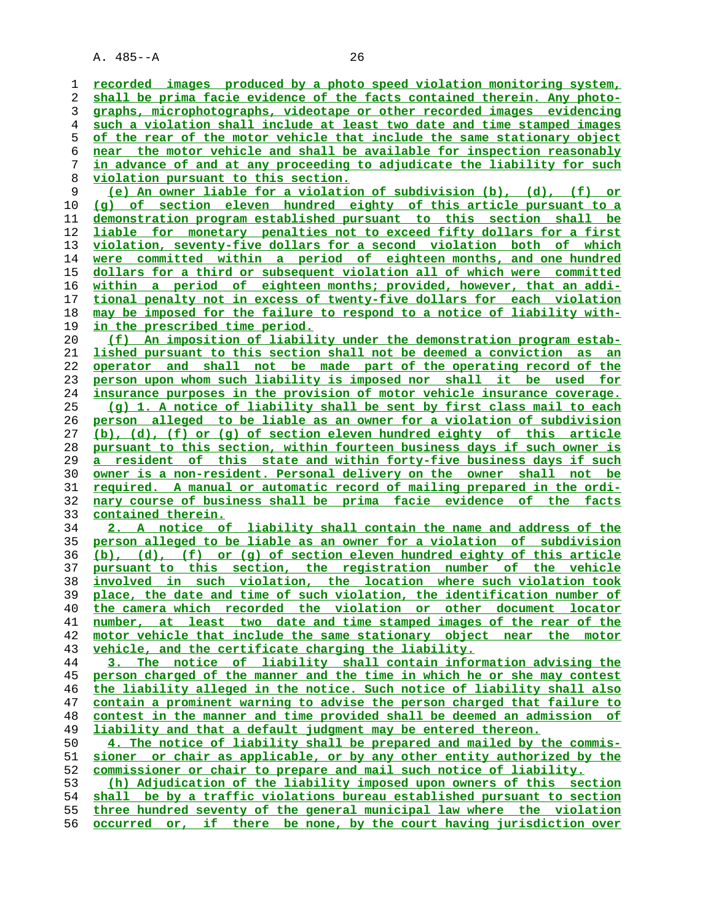**recorded images produced by a photo speed violation monitoring system, shall be prima facie evidence of the facts contained therein. Any photo- graphs, microphotographs, videotape or other recorded images evidencing such a violation shall include at least two date and time stamped images of the rear of the motor vehicle that include the same stationary object near the motor vehicle and shall be available for inspection reasonably in advance of and at any proceeding to adjudicate the liability for such violation pursuant to this section. (e) An owner liable for a violation of subdivision (b), (d), (f) or (g) of section eleven hundred eighty of this article pursuant to a demonstration program established pursuant to this section shall be liable for monetary penalties not to exceed fifty dollars for a first violation, seventy-five dollars for a second violation both of which**

**were committed within a period of eighteen months, and one hundred dollars for a third or subsequent violation all of which were committed within a period of eighteen months; provided, however, that an addi- tional penalty not in excess of twenty-five dollars for each violation may be imposed for the failure to respond to a notice of liability with- in the prescribed time period.**

**(f) An imposition of liability under the demonstration program estab- lished pursuant to this section shall not be deemed a conviction as an operator and shall not be made part of the operating record of the person upon whom such liability is imposed nor shall it be used for insurance purposes in the provision of motor vehicle insurance coverage. (g) 1. A notice of liability shall be sent by first class mail to each person alleged to be liable as an owner for a violation of subdivision (b), (d), (f) or (g) of section eleven hundred eighty of this article pursuant to this section, within fourteen business days if such owner is a resident of this state and within forty-five business days if such owner is a non-resident. Personal delivery on the owner shall not be required. A manual or automatic record of mailing prepared in the ordi- nary course of business shall be prima facie evidence of the facts contained therein.**

**2. A notice of liability shall contain the name and address of the person alleged to be liable as an owner for a violation of subdivision (b), (d), (f) or (g) of section eleven hundred eighty of this article pursuant to this section, the registration number of the vehicle involved in such violation, the location where such violation took place, the date and time of such violation, the identification number of the camera which recorded the violation or other document locator number, at least two date and time stamped images of the rear of the motor vehicle that include the same stationary object near the motor vehicle, and the certificate charging the liability.**

**3. The notice of liability shall contain information advising the person charged of the manner and the time in which he or she may contest the liability alleged in the notice. Such notice of liability shall also contain a prominent warning to advise the person charged that failure to contest in the manner and time provided shall be deemed an admission of liability and that a default judgment may be entered thereon.**

**4. The notice of liability shall be prepared and mailed by the commis- sioner or chair as applicable, or by any other entity authorized by the commissioner or chair to prepare and mail such notice of liability.**

**(h) Adjudication of the liability imposed upon owners of this section shall be by a traffic violations bureau established pursuant to section three hundred seventy of the general municipal law where the violation occurred or, if there be none, by the court having jurisdiction over**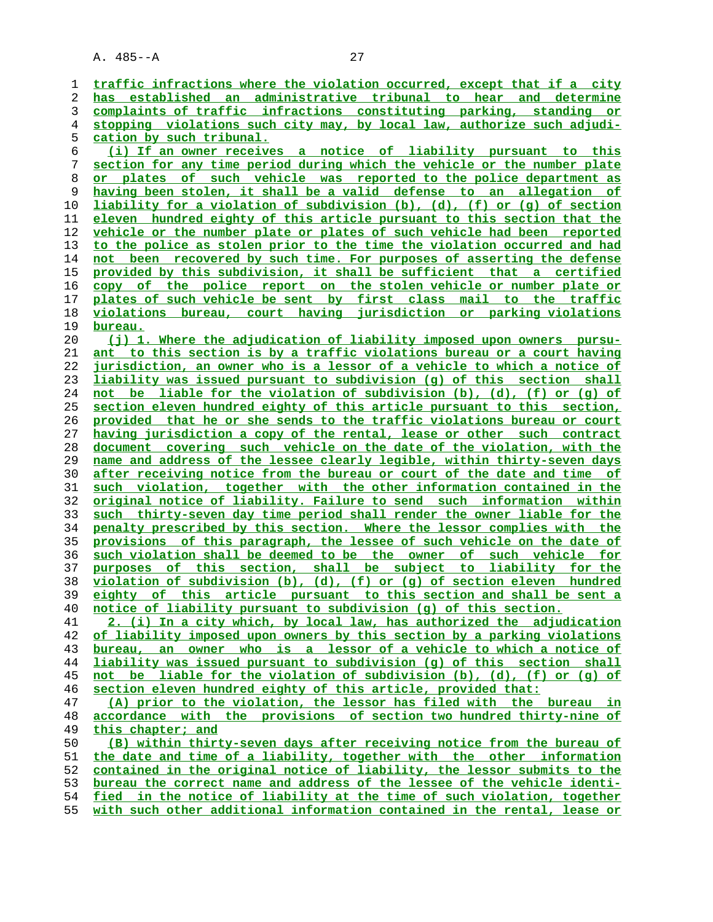| 1        | traffic infractions where the violation occurred, except that if a city         |
|----------|---------------------------------------------------------------------------------|
| 2        | has established an administrative tribunal to hear and determine                |
| 3        | complaints of traffic infractions constituting parking, standing or             |
| 4        | stopping violations such city may, by local law, authorize such adjudi-         |
| 5        | cation by such tribunal.                                                        |
| 6        | (i) If an owner receives a notice of liability pursuant to this                 |
| 7        | section for any time period during which the vehicle or the number plate        |
| 8        | $\circ$ £<br>such vehicle was reported to the police department as<br>or plates |
| 9        | having been stolen, it shall be a valid defense to an allegation of             |
| 10       | liability for a violation of subdivision (b), (d), (f) or (g) of section        |
| 11       | eleven hundred eighty of this article pursuant to this section that the         |
| 12       | vehicle or the number plate or plates of such vehicle had been reported         |
| 13       | to the police as stolen prior to the time the violation occurred and had        |
| 14       | not been recovered by such time. For purposes of asserting the defense          |
| 15       | provided by this subdivision, it shall be sufficient that a certified           |
| 16       | copy of the police report on the stolen vehicle or number plate or              |
| 17       | plates of such vehicle be sent by first class mail to the traffic               |
| 18       | violations bureau, court having jurisdiction or parking violations              |
| 19       | <u>bureau.</u>                                                                  |
| 20       | (j) 1. Where the adjudication of liability imposed upon owners pursu-           |
| 21       | ant to this section is by a traffic violations bureau or a court having         |
|          | jurisdiction, an owner who is a lessor of a vehicle to which a notice of        |
| 22<br>23 | liability was issued pursuant to subdivision (g) of this section shall          |
|          | not be liable for the violation of subdivision (b), (d), (f) or (q) of          |
| 24<br>25 | section eleven hundred eighty of this article pursuant to this section,         |
|          |                                                                                 |
| 26       | provided that he or she sends to the traffic violations bureau or court         |
| 27       | having jurisdiction a copy of the rental, lease or other such contract          |
| 28       | document covering such vehicle on the date of the violation, with the           |
| 29       | name and address of the lessee clearly legible, within thirty-seven days        |
| 30       | after receiving notice from the bureau or court of the date and time of         |
| 31       | such violation, together with the other information contained in the            |
| 32       | original notice of liability. Failure to send such information within           |
| 33       | such thirty-seven day time period shall render the owner liable for the         |
| 34       | penalty prescribed by this section. Where the lessor complies with the          |
| 35       | provisions of this paragraph, the lessee of such vehicle on the date of         |
| 36       | such violation shall be deemed to be the owner of such vehicle for              |
| 37       | purposes of this section, shall be subject to liability for the                 |
| 38       | violation of subdivision (b), (d), (f) or (g) of section eleven hundred         |
| 39       | eighty of this article pursuant to this section and shall be sent a             |
| 40       | notice of liability pursuant to subdivision (g) of this section.                |
| 41       | 2. (i) In a city which, by local law, has authorized the adjudication           |
| 42       | of liability imposed upon owners by this section by a parking violations        |
| 43       | bureau, an owner who is a lessor of a vehicle to which a notice of              |
| 44       | liability was issued pursuant to subdivision (q) of this section shall          |
| 45       | not be liable for the violation of subdivision (b), (d), (f) or (q) of          |
| 46       | section eleven hundred eighty of this article, provided that:                   |
| 47       | (A) prior to the violation, the lessor has filed with the bureau in             |
| 48       | accordance with the provisions of section two hundred thirty-nine of            |
| 49       | this chapter; and                                                               |
| 50       | (B) within thirty-seven days after receiving notice from the bureau of          |
| 51       | the date and time of a liability, together with the other information           |
| 52       | contained in the original notice of liability, the lessor submits to the        |
| 53       | bureau the correct name and address of the lessee of the vehicle identi-        |
| 54       | fied in the notice of liability at the time of such violation, together         |

**with such other additional information contained in the rental, lease or**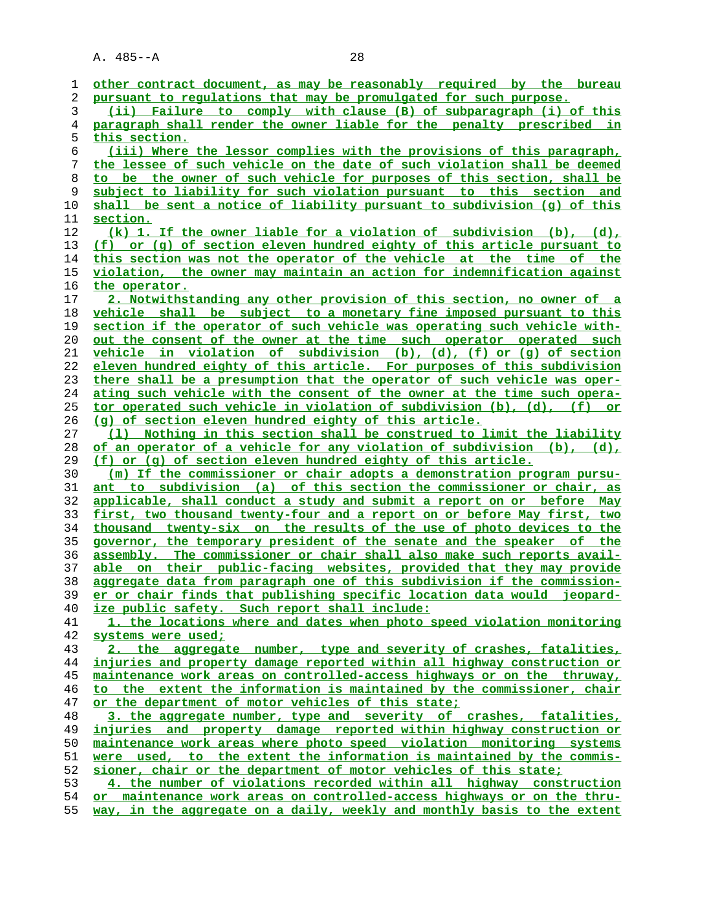| 1  | other contract document, as may be reasonably required by the bureau        |
|----|-----------------------------------------------------------------------------|
| 2  | pursuant to regulations that may be promulgated for such purpose.           |
| 3  | (ii) Failure to comply with clause (B) of subparagraph (i) of this          |
| 4  | paragraph shall render the owner liable for the penalty prescribed in       |
| 5  | this section.                                                               |
| 6  | (iii) Where the lessor complies with the provisions of this paragraph,      |
|    |                                                                             |
| 7  | the lessee of such vehicle on the date of such violation shall be deemed    |
| 8  | to be the owner of such vehicle for purposes of this section, shall be      |
| 9  | subject to liability for such violation pursuant to this section and        |
| 10 | shall be sent a notice of liability pursuant to subdivision (q) of this     |
| 11 | section.                                                                    |
| 12 | (k) 1. If the owner liable for a violation of subdivision (b), (d),         |
| 13 | (f) or (g) of section eleven hundred eighty of this article pursuant to     |
| 14 | this section was not the operator of the vehicle at the time of the         |
|    |                                                                             |
| 15 | violation, the owner may maintain an action for indemnification against     |
| 16 | the operator.                                                               |
| 17 | 2. Notwithstanding any other provision of this section, no owner of a       |
| 18 | vehicle shall be subject to a monetary fine imposed pursuant to this        |
| 19 | section if the operator of such vehicle was operating such vehicle with-    |
| 20 | out the consent of the owner at the time such operator operated such        |
| 21 | vehicle in violation of subdivision (b), (d), (f) or (q) of section         |
| 22 | eleven hundred eighty of this article. For purposes of this subdivision     |
| 23 | there shall be a presumption that the operator of such vehicle was oper-    |
|    |                                                                             |
| 24 | ating such vehicle with the consent of the owner at the time such opera-    |
| 25 | tor operated such vehicle in violation of subdivision (b), (d), (f) or      |
| 26 | (q) of section eleven hundred eighty of this article.                       |
| 27 | (1) Nothing in this section shall be construed to limit the liability       |
| 28 | of an operator of a vehicle for any violation of subdivision (b), (d),      |
| 29 | (f) or (g) of section eleven hundred eighty of this article.                |
| 30 | (m) If the commissioner or chair adopts a demonstration program pursu-      |
| 31 | ant to subdivision (a) of this section the commissioner or chair, as        |
| 32 | applicable, shall conduct a study and submit a report on or before May      |
|    |                                                                             |
| 33 | first, two thousand twenty-four and a report on or before May first, two    |
| 34 | thousand twenty-six on the results of the use of photo devices to the       |
| 35 | governor, the temporary president of the senate and the speaker of the      |
| 36 | assembly. The commissioner or chair shall also make such reports avail-     |
| 37 | able on their public-facing websites, provided that they may provide        |
| 38 | aggregate data from paragraph one of this subdivision if the commission-    |
| 39 | er or chair finds that publishing specific location data would jeopard-     |
| 40 | ize public safety. Such report shall include:                               |
| 41 | 1. the locations where and dates when photo speed violation monitoring      |
| 42 | systems were used;                                                          |
| 43 | 2. the aggregate number, type and severity of crashes, fatalities,          |
|    |                                                                             |
| 44 | injuries and property damage reported within all highway construction or    |
| 45 | maintenance work areas on controlled-access highways or on the thruway,     |
| 46 | to the extent the information is maintained by the commissioner, chair      |
| 47 | or the department of motor vehicles of this state;                          |
| 48 | 3. the aggregate number, type and severity of crashes, fatalities,          |
| 49 | <u>injuries and property damage reported within highway construction or</u> |
| 50 | maintenance work areas where photo speed violation monitoring systems       |
| 51 | were used, to the extent the information is maintained by the commis-       |
| 52 | sioner, chair or the department of motor vehicles of this state;            |
|    |                                                                             |
| 53 | 4. the number of violations recorded within all highway construction        |
| 54 | or maintenance work areas on controlled-access highways or on the thru-     |
| 55 | way, in the aggregate on a daily, weekly and monthly basis to the extent    |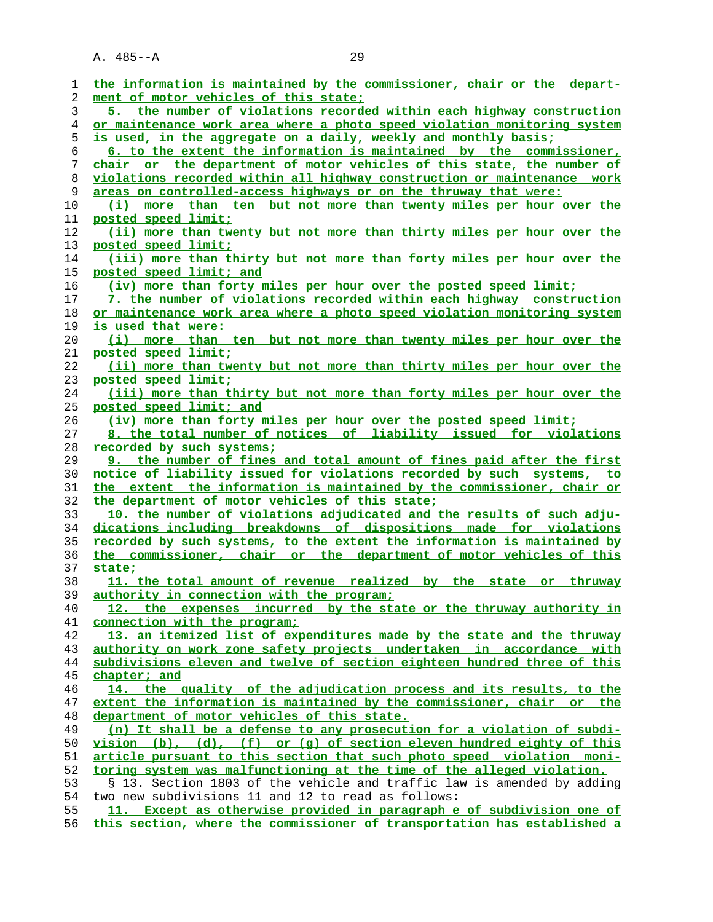| 1  | the information is maintained by the commissioner, chair or the depart-  |
|----|--------------------------------------------------------------------------|
| 2  | ment of motor vehicles of this state;                                    |
| 3  | 5. the number of violations recorded within each highway construction    |
| 4  | or maintenance work area where a photo speed violation monitoring system |
| 5  | is used, in the aggregate on a daily, weekly and monthly basis;          |
| 6  | 6. to the extent the information is maintained by the commissioner,      |
| 7  | chair or the department of motor vehicles of this state, the number of   |
| 8  | violations recorded within all highway construction or maintenance work  |
| 9  | areas on controlled-access highways or on the thruway that were:         |
| 10 | (i) more than ten but not more than twenty miles per hour over the       |
| 11 | posted speed limit;                                                      |
| 12 | (ii) more than twenty but not more than thirty miles per hour over the   |
| 13 | posted speed limit;                                                      |
| 14 | (iii) more than thirty but not more than forty miles per hour over the   |
| 15 | posted speed limit; and                                                  |
| 16 | (iv) more than forty miles per hour over the posted speed limit;         |
| 17 | 7. the number of violations recorded within each highway construction    |
| 18 | or maintenance work area where a photo speed violation monitoring system |
| 19 | is used that were:                                                       |
| 20 | (i) more than ten but not more than twenty miles per hour over the       |
| 21 | posted speed limit;                                                      |
| 22 | (ii) more than twenty but not more than thirty miles per hour over the   |
| 23 | posted speed limit;                                                      |
| 24 | (iii) more than thirty but not more than forty miles per hour over the   |
| 25 | posted speed limit; and                                                  |
| 26 | (iv) more than forty miles per hour over the posted speed limit;         |
| 27 | 8. the total number of notices of liability issued for violations        |
| 28 | recorded by such systems;                                                |
| 29 | 9. the number of fines and total amount of fines paid after the first    |
| 30 | notice of liability issued for violations recorded by such systems, to   |
| 31 | the extent the information is maintained by the commissioner, chair or   |
| 32 | the department of motor vehicles of this state;                          |
| 33 | 10. the number of violations adjudicated and the results of such adju-   |
| 34 | dications including breakdowns of dispositions made for violations       |
| 35 | recorded by such systems, to the extent the information is maintained by |
| 36 | the commissioner, chair or the department of motor vehicles of this      |
| 37 | state;                                                                   |
| 38 | 11. the total amount of revenue realized by the state or thruway         |
| 39 | authority in connection with the program;                                |
| 40 | 12. the expenses incurred by the state or the thruway authority in       |
| 41 | connection with the program;                                             |
| 42 | 13. an itemized list of expenditures made by the state and the thruway   |
| 43 | authority on work zone safety projects undertaken in accordance with     |
| 44 | subdivisions eleven and twelve of section eighteen hundred three of this |
| 45 | chapter; and                                                             |
| 46 | 14. the quality of the adjudication process and its results, to the      |
| 47 | extent the information is maintained by the commissioner, chair or the   |
| 48 | department of motor vehicles of this state.                              |
| 49 | (n) It shall be a defense to any prosecution for a violation of subdi-   |
| 50 | $vision (b), (d), (f) or (q) of section eleven hundred eighty of this$   |
| 51 | article pursuant to this section that such photo speed violation moni-   |
| 52 | toring system was malfunctioning at the time of the alleged violation.   |
| 53 | § 13. Section 1803 of the vehicle and traffic law is amended by adding   |
| 54 | two new subdivisions 11 and 12 to read as follows:                       |
| 55 | 11. Except as otherwise provided in paragraph e of subdivision one of    |
| 56 | this section, where the commissioner of transportation has established a |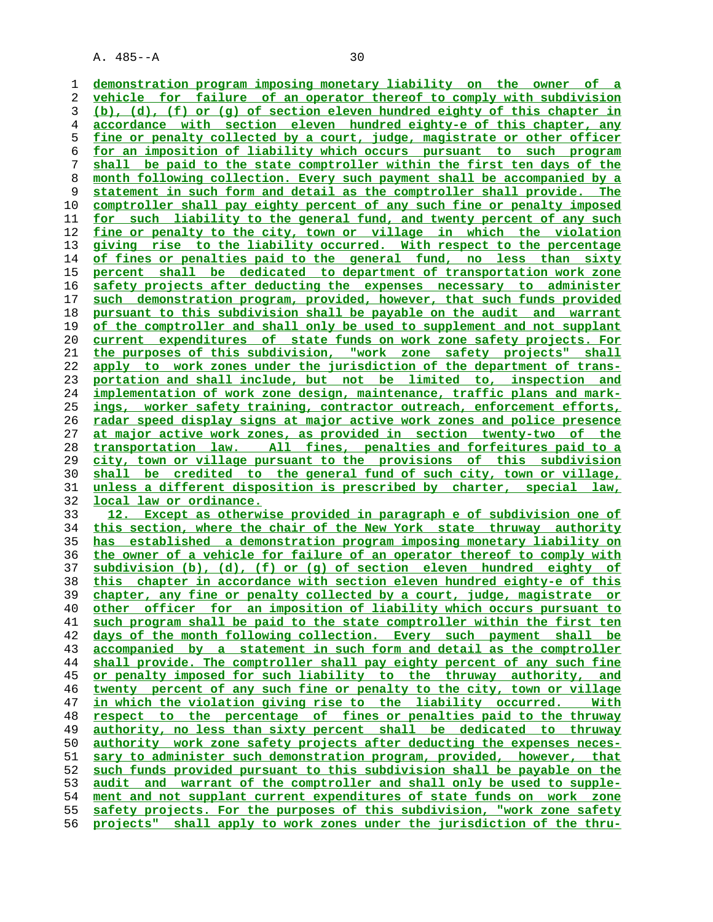**demonstration program imposing monetary liability on the owner of a vehicle for failure of an operator thereof to comply with subdivision (b), (d), (f) or (g) of section eleven hundred eighty of this chapter in accordance with section eleven hundred eighty-e of this chapter, any fine or penalty collected by a court, judge, magistrate or other officer for an imposition of liability which occurs pursuant to such program shall be paid to the state comptroller within the first ten days of the month following collection. Every such payment shall be accompanied by a statement in such form and detail as the comptroller shall provide. The**

**comptroller shall pay eighty percent of any such fine or penalty imposed for such liability to the general fund, and twenty percent of any such fine or penalty to the city, town or village in which the violation giving rise to the liability occurred. With respect to the percentage of fines or penalties paid to the general fund, no less than sixty percent shall be dedicated to department of transportation work zone safety projects after deducting the expenses necessary to administer such demonstration program, provided, however, that such funds provided pursuant to this subdivision shall be payable on the audit and warrant of the comptroller and shall only be used to supplement and not supplant current expenditures of state funds on work zone safety projects. For the purposes of this subdivision, "work zone safety projects" shall apply to work zones under the jurisdiction of the department of trans- portation and shall include, but not be limited to, inspection and implementation of work zone design, maintenance, traffic plans and mark- ings, worker safety training, contractor outreach, enforcement efforts, radar speed display signs at major active work zones and police presence at major active work zones, as provided in section twenty-two of the transportation law. All fines, penalties and forfeitures paid to a city, town or village pursuant to the provisions of this subdivision shall be credited to the general fund of such city, town or village, unless a different disposition is prescribed by charter, special law, local law or ordinance.**

**12. Except as otherwise provided in paragraph e of subdivision one of this section, where the chair of the New York state thruway authority has established a demonstration program imposing monetary liability on the owner of a vehicle for failure of an operator thereof to comply with subdivision (b), (d), (f) or (g) of section eleven hundred eighty of this chapter in accordance with section eleven hundred eighty-e of this chapter, any fine or penalty collected by a court, judge, magistrate or other officer for an imposition of liability which occurs pursuant to such program shall be paid to the state comptroller within the first ten days of the month following collection. Every such payment shall be accompanied by a statement in such form and detail as the comptroller shall provide. The comptroller shall pay eighty percent of any such fine or penalty imposed for such liability to the thruway authority, and twenty percent of any such fine or penalty to the city, town or village in which the violation giving rise to the liability occurred. With respect to the percentage of fines or penalties paid to the thruway authority, no less than sixty percent shall be dedicated to thruway authority work zone safety projects after deducting the expenses neces- sary to administer such demonstration program, provided, however, that such funds provided pursuant to this subdivision shall be payable on the audit and warrant of the comptroller and shall only be used to supple- ment and not supplant current expenditures of state funds on work zone safety projects. For the purposes of this subdivision, "work zone safety projects" shall apply to work zones under the jurisdiction of the thru-**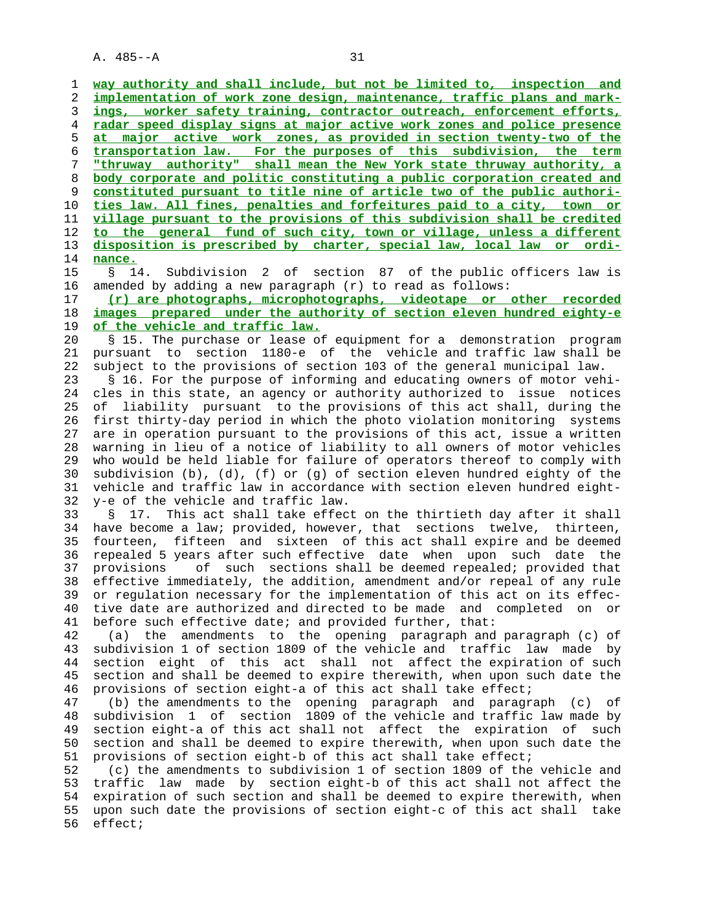**way authority and shall include, but not be limited to, inspection and implementation of work zone design, maintenance, traffic plans and mark- ings, worker safety training, contractor outreach, enforcement efforts, radar speed display signs at major active work zones and police presence at major active work zones, as provided in section twenty-two of the transportation law. For the purposes of this subdivision, the term "thruway authority" shall mean the New York state thruway authority, a body corporate and politic constituting a public corporation created and constituted pursuant to title nine of article two of the public authori- ties law. All fines, penalties and forfeitures paid to a city, town or village pursuant to the provisions of this subdivision shall be credited to the general fund of such city, town or village, unless a different disposition is prescribed by charter, special law, local law or ordi-** 14 **nance.**

15 § 14. Subdivision 2 of section 87 of the public officers law is

 16 amended by adding a new paragraph (r) to read as follows: 17 **(r) are photographs, microphotographs, videotape or other recorded** 18 **images prepared under the authority of section eleven hundred eighty-e**

19 **of the vehicle and traffic law.**

 20 § 15. The purchase or lease of equipment for a demonstration program 21 pursuant to section 1180-e of the vehicle and traffic law shall be 22 subject to the provisions of section 103 of the general municipal law.

 23 § 16. For the purpose of informing and educating owners of motor vehi- 24 cles in this state, an agency or authority authorized to issue notices 25 of liability pursuant to the provisions of this act shall, during the 26 first thirty-day period in which the photo violation monitoring systems 27 are in operation pursuant to the provisions of this act, issue a written 28 warning in lieu of a notice of liability to all owners of motor vehicles 29 who would be held liable for failure of operators thereof to comply with 30 subdivision (b), (d), (f) or (g) of section eleven hundred eighty of the 31 vehicle and traffic law in accordance with section eleven hundred eight- 32 y-e of the vehicle and traffic law.

 33 § 17. This act shall take effect on the thirtieth day after it shall 34 have become a law; provided, however, that sections twelve, thirteen, 35 fourteen, fifteen and sixteen of this act shall expire and be deemed 36 repealed 5 years after such effective date when upon such date the 37 provisions of such sections shall be deemed repealed; provided that 38 effective immediately, the addition, amendment and/or repeal of any rule 39 or regulation necessary for the implementation of this act on its effec- 40 tive date are authorized and directed to be made and completed on or 41 before such effective date; and provided further, that:

 42 (a) the amendments to the opening paragraph and paragraph (c) of 43 subdivision 1 of section 1809 of the vehicle and traffic law made by 44 section eight of this act shall not affect the expiration of such 45 section and shall be deemed to expire therewith, when upon such date the 46 provisions of section eight-a of this act shall take effect;

 47 (b) the amendments to the opening paragraph and paragraph (c) of 48 subdivision 1 of section 1809 of the vehicle and traffic law made by 49 section eight-a of this act shall not affect the expiration of such 50 section and shall be deemed to expire therewith, when upon such date the 51 provisions of section eight-b of this act shall take effect;

 52 (c) the amendments to subdivision 1 of section 1809 of the vehicle and 53 traffic law made by section eight-b of this act shall not affect the 54 expiration of such section and shall be deemed to expire therewith, when 55 upon such date the provisions of section eight-c of this act shall take 56 effect;